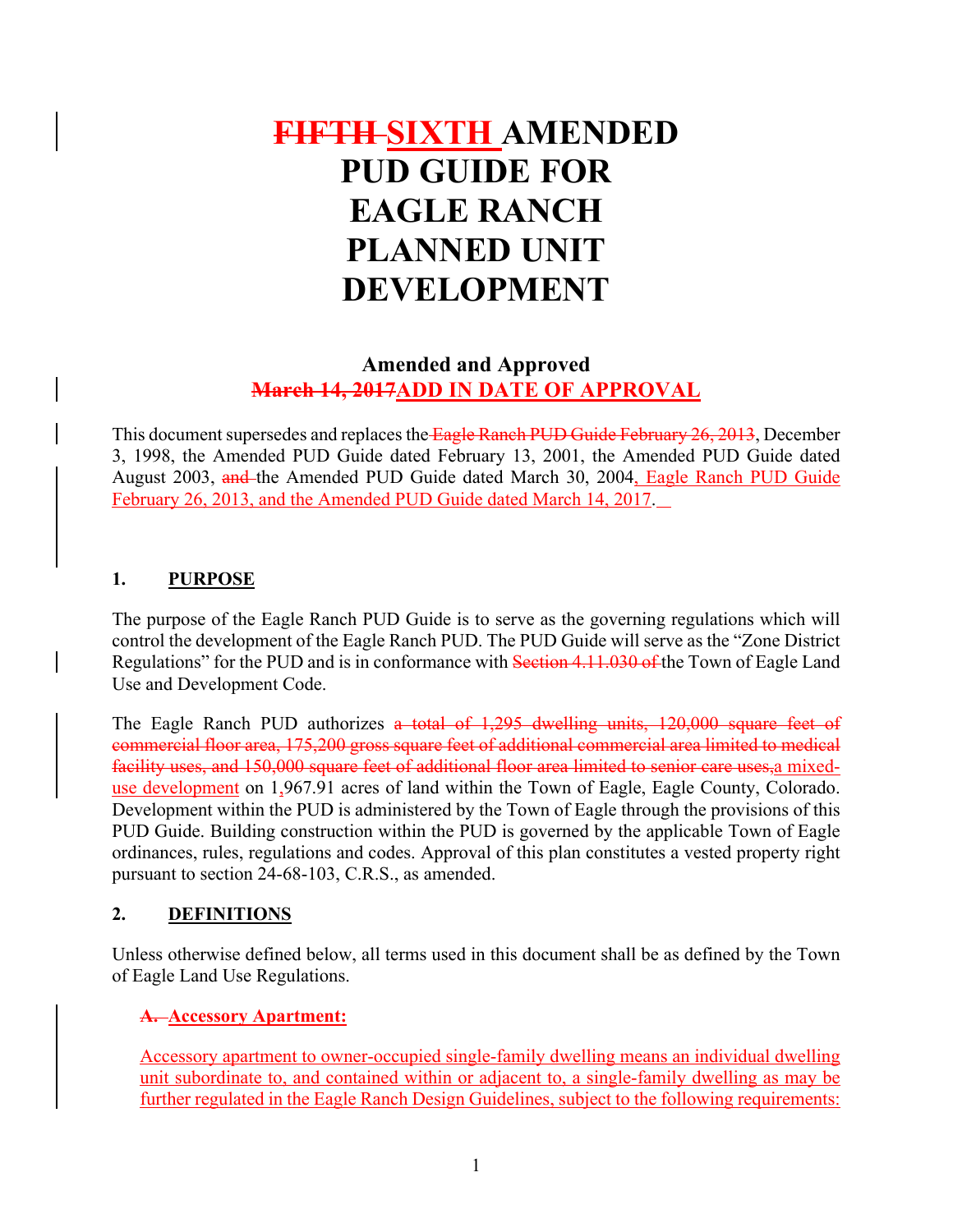# **FIFTH SIXTH AMENDED PUD GUIDE FOR EAGLE RANCH PLANNED UNIT DEVELOPMENT**

# **Amended and Approved March 14, 2017ADD IN DATE OF APPROVAL**

This document supersedes and replaces the Eagle Ranch PUD Guide February 26, 2013, December 3, 1998, the Amended PUD Guide dated February 13, 2001, the Amended PUD Guide dated August 2003, and the Amended PUD Guide dated March 30, 2004, Eagle Ranch PUD Guide February 26, 2013, and the Amended PUD Guide dated March 14, 2017.

# **1. PURPOSE**

The purpose of the Eagle Ranch PUD Guide is to serve as the governing regulations which will control the development of the Eagle Ranch PUD. The PUD Guide will serve as the "Zone District Regulations" for the PUD and is in conformance with Section 4.11.030 of the Town of Eagle Land Use and Development Code.

The Eagle Ranch PUD authorizes a total of 1,295 dwelling units, 120,000 square feet of commercial floor area, 175,200 gross square feet of additional commercial area limited to medical facility uses, and 150,000 square feet of additional floor area limited to senior care uses,a mixeduse development on 1,967.91 acres of land within the Town of Eagle, Eagle County, Colorado. Development within the PUD is administered by the Town of Eagle through the provisions of this PUD Guide. Building construction within the PUD is governed by the applicable Town of Eagle ordinances, rules, regulations and codes. Approval of this plan constitutes a vested property right pursuant to section 24-68-103, C.R.S., as amended.

# **2. DEFINITIONS**

Unless otherwise defined below, all terms used in this document shall be as defined by the Town of Eagle Land Use Regulations.

# **A. Accessory Apartment:**

Accessory apartment to owner-occupied single-family dwelling means an individual dwelling unit subordinate to, and contained within or adjacent to, a single-family dwelling as may be further regulated in the Eagle Ranch Design Guidelines, subject to the following requirements: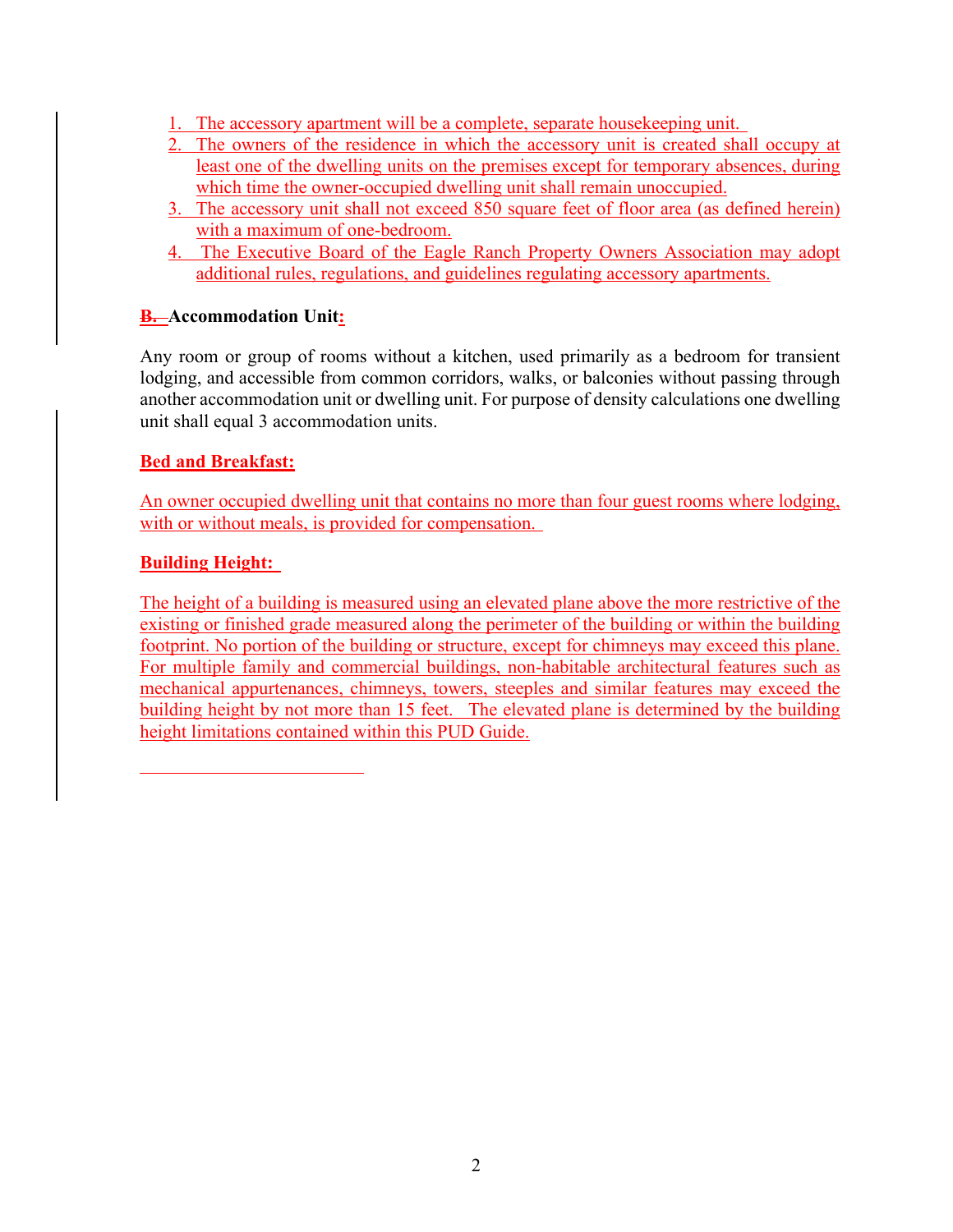- 1. The accessory apartment will be a complete, separate housekeeping unit.
- 2. The owners of the residence in which the accessory unit is created shall occupy at least one of the dwelling units on the premises except for temporary absences, during which time the owner-occupied dwelling unit shall remain unoccupied.
- 3. The accessory unit shall not exceed 850 square feet of floor area (as defined herein) with a maximum of one-bedroom.
- 4. The Executive Board of the Eagle Ranch Property Owners Association may adopt additional rules, regulations, and guidelines regulating accessory apartments.

# **B. Accommodation Unit:**

Any room or group of rooms without a kitchen, used primarily as a bedroom for transient lodging, and accessible from common corridors, walks, or balconies without passing through another accommodation unit or dwelling unit. For purpose of density calculations one dwelling unit shall equal 3 accommodation units.

# **Bed and Breakfast:**

An owner occupied dwelling unit that contains no more than four guest rooms where lodging, with or without meals, is provided for compensation.

#### **Building Height:**

The height of a building is measured using an elevated plane above the more restrictive of the existing or finished grade measured along the perimeter of the building or within the building footprint. No portion of the building or structure, except for chimneys may exceed this plane. For multiple family and commercial buildings, non-habitable architectural features such as mechanical appurtenances, chimneys, towers, steeples and similar features may exceed the building height by not more than 15 feet. The elevated plane is determined by the building height limitations contained within this PUD Guide.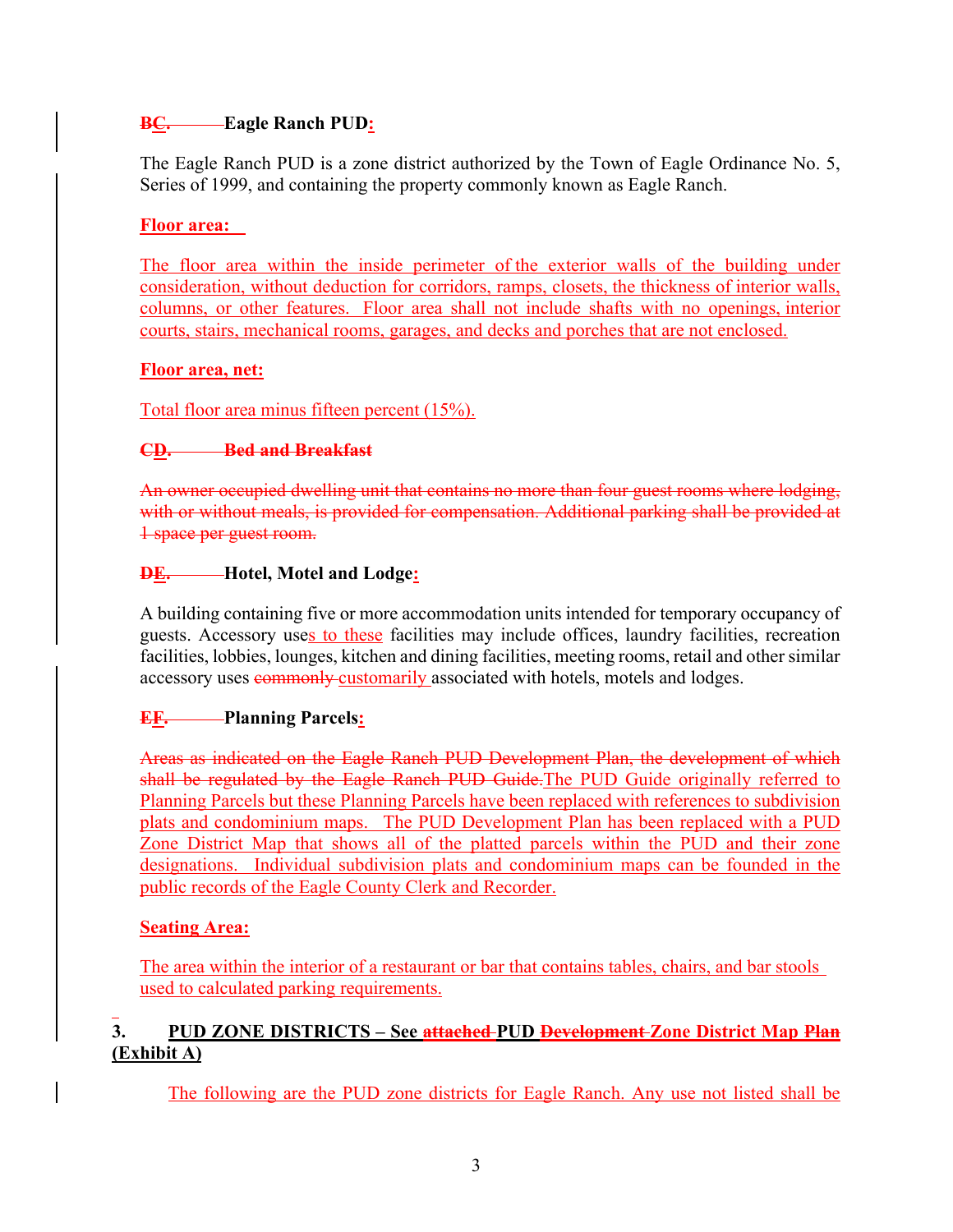# **BC. Eagle Ranch PUD:**

The Eagle Ranch PUD is a zone district authorized by the Town of Eagle Ordinance No. 5, Series of 1999, and containing the property commonly known as Eagle Ranch.

# **Floor area:**

The floor area within the inside perimeter of the exterior walls of the building under consideration, without deduction for corridors, ramps, closets, the thickness of interior walls, columns, or other features. Floor area shall not include shafts with no openings, interior courts, stairs, mechanical rooms, garages, and decks and porches that are not enclosed.

# **Floor area, net:**

Total floor area minus fifteen percent (15%).

# **CD. Bed and Breakfast**

An owner occupied dwelling unit that contains no more than four guest rooms where lodging, with or without meals, is provided for compensation. Additional parking shall be provided at 1 space per guest room.

# **DE. Hotel, Motel and Lodge:**

A building containing five or more accommodation units intended for temporary occupancy of guests. Accessory uses to these facilities may include offices, laundry facilities, recreation facilities, lobbies, lounges, kitchen and dining facilities, meeting rooms, retail and other similar accessory uses **commonly** customarily associated with hotels, motels and lodges.

# **EF. Planning Parcels:**

Areas as indicated on the Eagle Ranch PUD Development Plan, the development of which shall be regulated by the Eagle Ranch PUD Guide. The PUD Guide originally referred to Planning Parcels but these Planning Parcels have been replaced with references to subdivision plats and condominium maps. The PUD Development Plan has been replaced with a PUD Zone District Map that shows all of the platted parcels within the PUD and their zone designations. Individual subdivision plats and condominium maps can be founded in the public records of the Eagle County Clerk and Recorder.

# **Seating Area:**

The area within the interior of a restaurant or bar that contains tables, chairs, and bar stools used to calculated parking requirements.

# **3. PUD ZONE DISTRICTS – See attached PUD Development Zone District Map Plan (Exhibit A)**

The following are the PUD zone districts for Eagle Ranch. Any use not listed shall be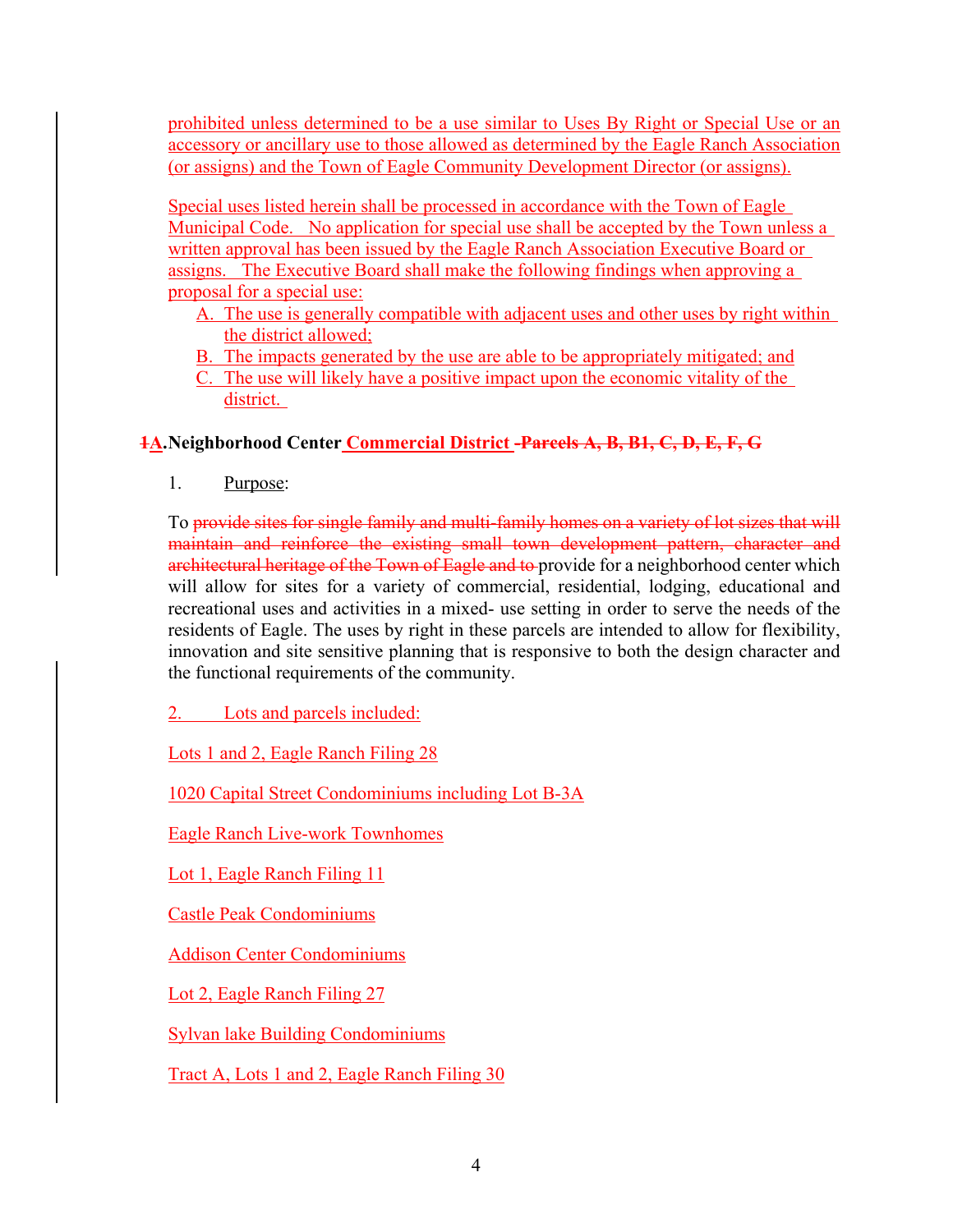prohibited unless determined to be a use similar to Uses By Right or Special Use or an accessory or ancillary use to those allowed as determined by the Eagle Ranch Association (or assigns) and the Town of Eagle Community Development Director (or assigns).

Special uses listed herein shall be processed in accordance with the Town of Eagle Municipal Code. No application for special use shall be accepted by the Town unless a written approval has been issued by the Eagle Ranch Association Executive Board or assigns. The Executive Board shall make the following findings when approving a proposal for a special use:

- A. The use is generally compatible with adjacent uses and other uses by right within the district allowed;
- B. The impacts generated by the use are able to be appropriately mitigated; and
- C. The use will likely have a positive impact upon the economic vitality of the district.

# **1A.Neighborhood Center Commercial District -Parcels A, B, B1, C, D, E, F, G**

1. Purpose:

To provide sites for single family and multi-family homes on a variety of lot sizes that will maintain and reinforce the existing small town development pattern, character and architectural heritage of the Town of Eagle and to provide for a neighborhood center which will allow for sites for a variety of commercial, residential, lodging, educational and recreational uses and activities in a mixed- use setting in order to serve the needs of the residents of Eagle. The uses by right in these parcels are intended to allow for flexibility, innovation and site sensitive planning that is responsive to both the design character and the functional requirements of the community.

2. Lots and parcels included:

Lots 1 and 2, Eagle Ranch Filing 28

1020 Capital Street Condominiums including Lot B-3A

Eagle Ranch Live-work Townhomes

Lot 1, Eagle Ranch Filing 11

Castle Peak Condominiums

Addison Center Condominiums

Lot 2, Eagle Ranch Filing 27

Sylvan lake Building Condominiums

Tract A, Lots 1 and 2, Eagle Ranch Filing 30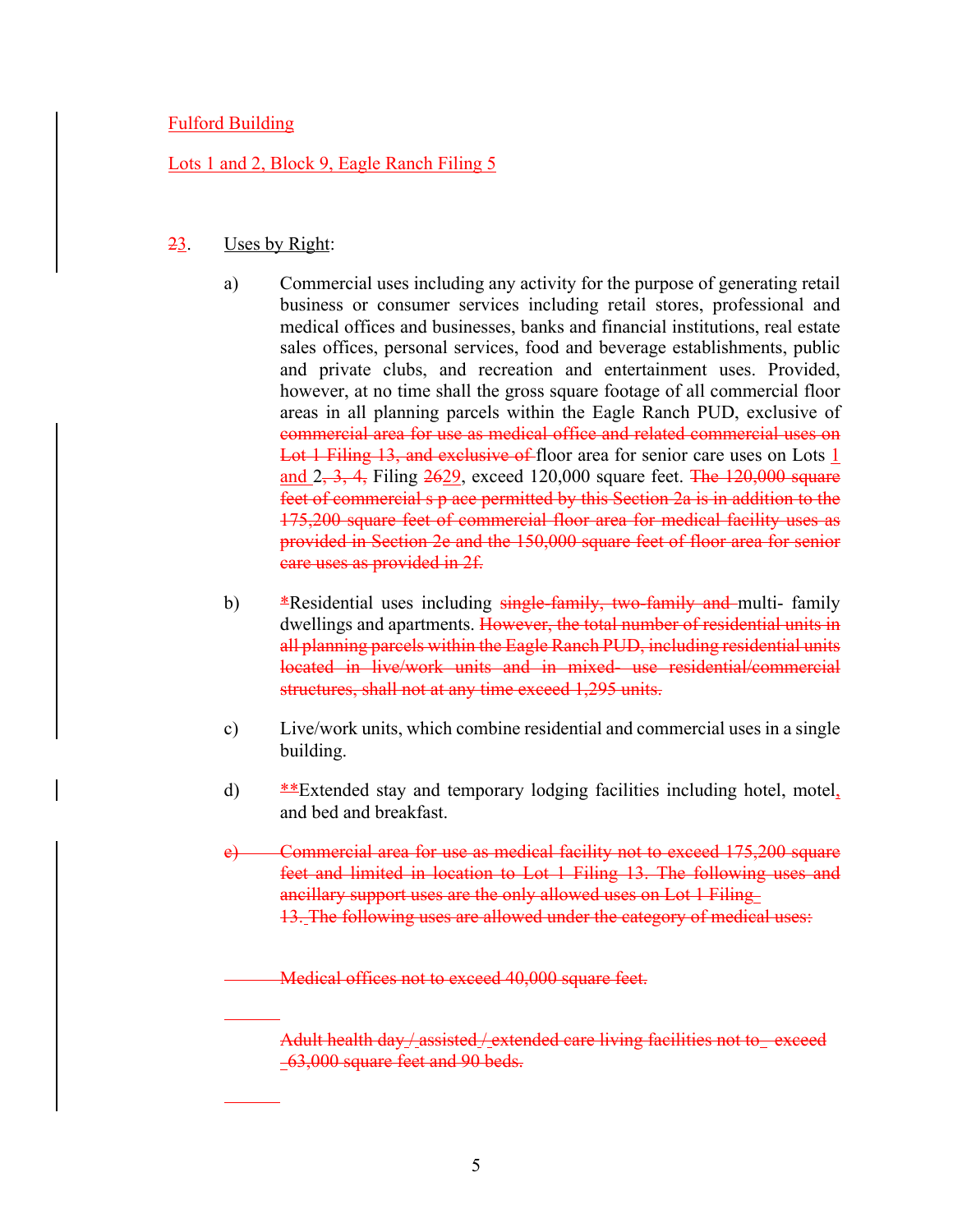## Fulford Building

### Lots 1 and 2, Block 9, Eagle Ranch Filing 5

#### 23. Uses by Right:

- a) Commercial uses including any activity for the purpose of generating retail business or consumer services including retail stores, professional and medical offices and businesses, banks and financial institutions, real estate sales offices, personal services, food and beverage establishments, public and private clubs, and recreation and entertainment uses. Provided, however, at no time shall the gross square footage of all commercial floor areas in all planning parcels within the Eagle Ranch PUD, exclusive of commercial area for use as medical office and related commercial uses on Lot 1 Filing 13, and exclusive of floor area for senior care uses on Lots 1 and  $2, 3, 4$ , Filing  $2629$ , exceed 120,000 square feet. The 120,000 square feet of commercial s p ace permitted by this Section 2a is in addition to the 175,200 square feet of commercial floor area for medical facility uses as provided in Section 2e and the 150,000 square feet of floor area for senior care uses as provided in 2f.
- b)  $*$ Residential uses including  $s$ ingle-family, two-family and multi-family dwellings and apartments. However, the total number of residential units in all planning parcels within the Eagle Ranch PUD, including residential units located in live/work units and in mixed- use residential/commercial structures, shall not at any time exceed 1,295 units.
- c) Live/work units, which combine residential and commercial uses in a single building.
- d) \*\*Extended stay and temporary lodging facilities including hotel, motel, and bed and breakfast.
- e) Commercial area for use as medical facility not to exceed 175,200 square feet and limited in location to Lot 1 Filing 13. The following uses and ancillary support uses are the only allowed uses on Lot 1 Filing 13. The following uses are allowed under the category of medical uses:

Medical offices not to exceed 40,000 square feet.

Adult health day / assisted / extended care living facilities not to exceed 63,000 square feet and 90 beds.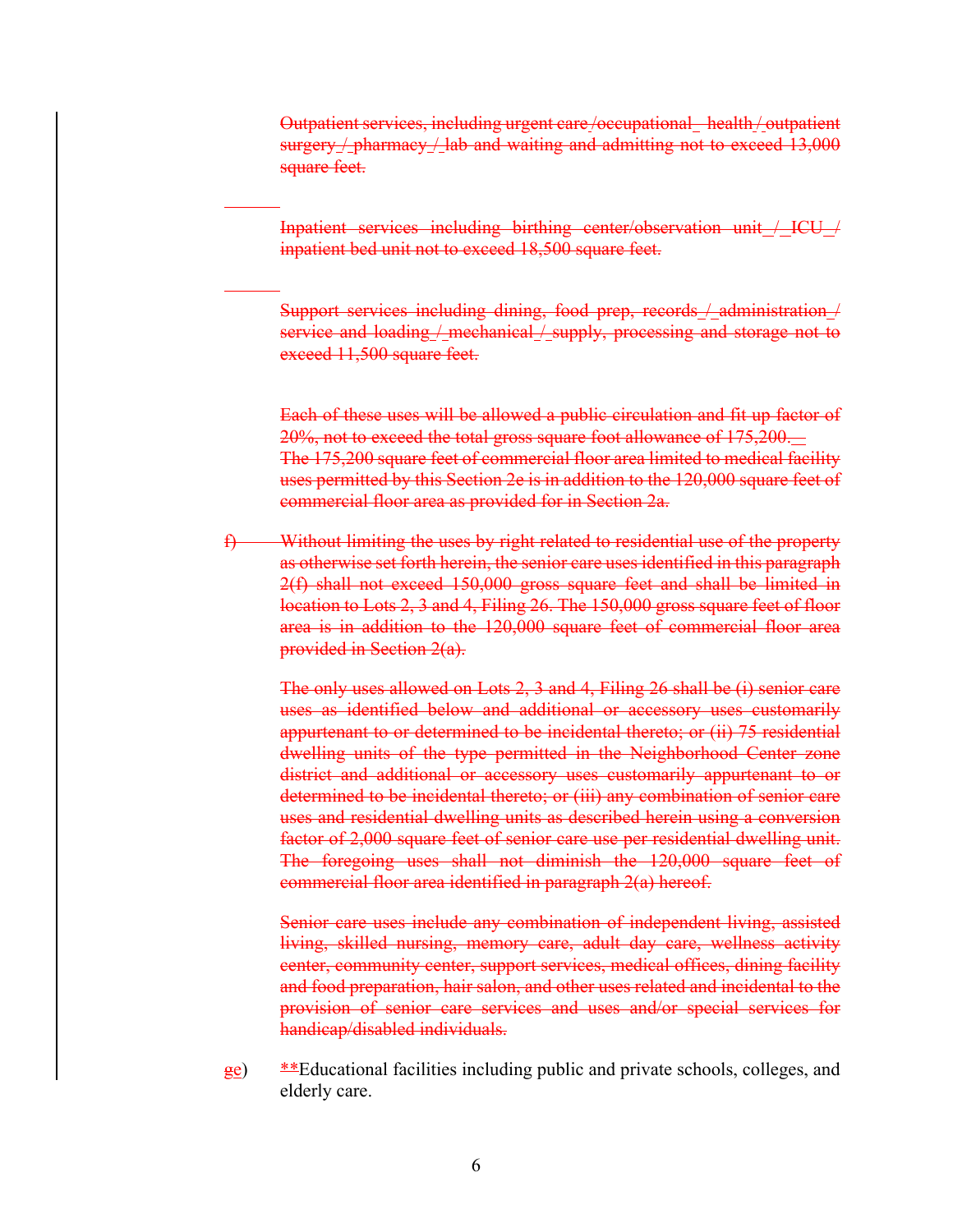Outpatient services, including urgent care/occupational health/outpatient surgery / pharmacy / lab and waiting and admitting not to exceed 13,000 square feet.

Inpatient services including birthing center/observation unit / ICU / inpatient bed unit not to exceed 18,500 square feet.

Support services including dining, food prep, records / administration / service and loading / mechanical / supply, processing and storage not to exceed 11,500 square feet.

Each of these uses will be allowed a public circulation and fit up factor of 20%, not to exceed the total gross square foot allowance of 175,200. The 175,200 square feet of commercial floor area limited to medical facility uses permitted by this Section 2e is in addition to the 120,000 square feet of commercial floor area as provided for in Section 2a.

f) Without limiting the uses by right related to residential use of the property as otherwise set forth herein, the senior care uses identified in this paragraph 2(f) shall not exceed 150,000 gross square feet and shall be limited in location to Lots 2, 3 and 4, Filing 26. The 150,000 gross square feet of floor area is in addition to the 120,000 square feet of commercial floor area provided in Section 2(a).

The only uses allowed on Lots 2, 3 and 4, Filing 26 shall be (i) senior care uses as identified below and additional or accessory uses customarily appurtenant to or determined to be incidental thereto; or (ii) 75 residential dwelling units of the type permitted in the Neighborhood Center zone district and additional or accessory uses customarily appurtenant to or determined to be incidental thereto; or (iii) any combination of senior care uses and residential dwelling units as described herein using a conversion factor of 2,000 square feet of senior care use per residential dwelling unit. The foregoing uses shall not diminish the 120,000 square feet of commercial floor area identified in paragraph 2(a) hereof.

Senior care uses include any combination of independent living, assisted living, skilled nursing, memory care, adult day care, wellness activity center, community center, support services, medical offices, dining facility and food preparation, hair salon, and other uses related and incidental to the provision of senior care services and uses and/or special services for handicap/disabled individuals.

 $\frac{ge}{2e}$  \*\*Educational facilities including public and private schools, colleges, and elderly care.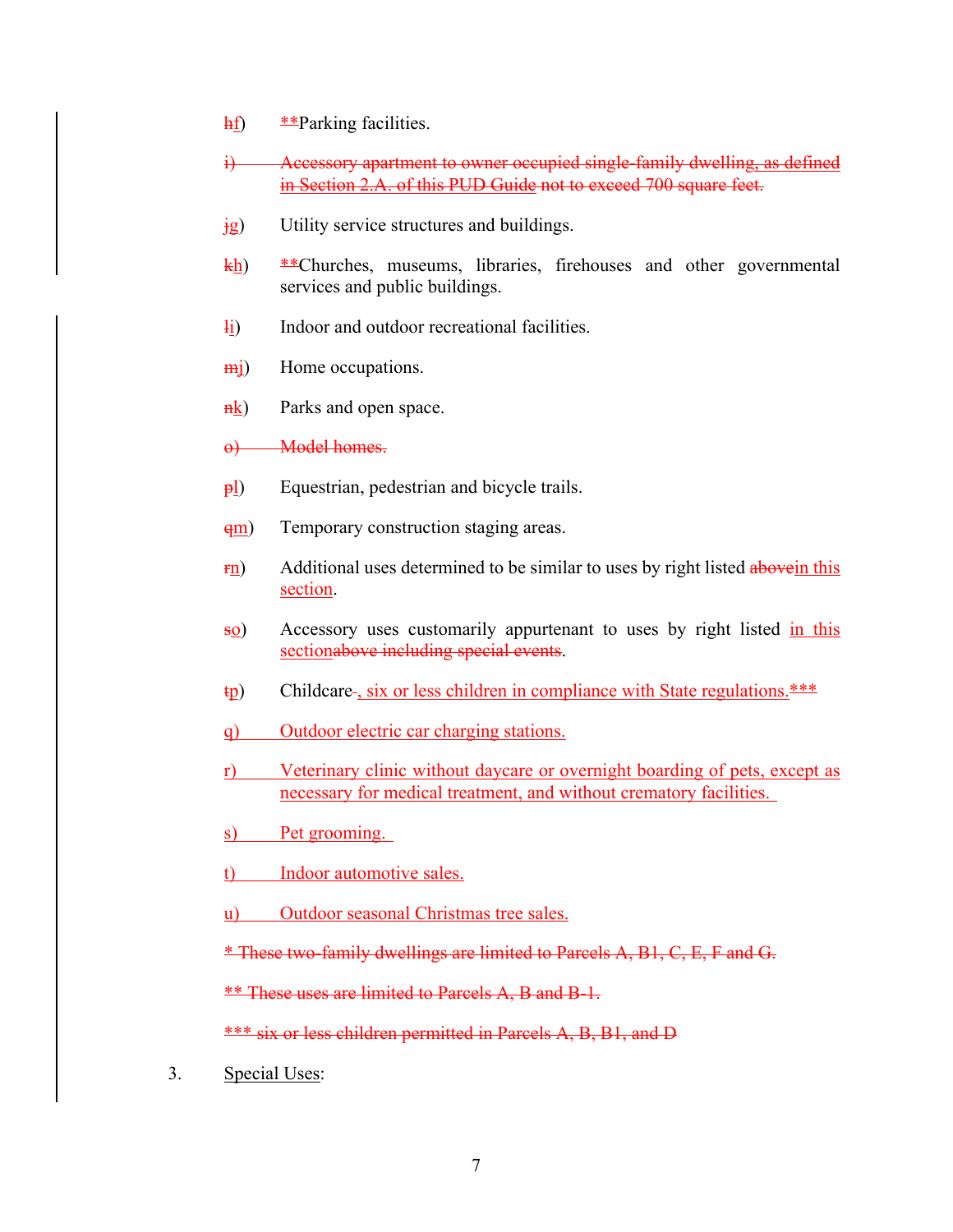- hf)  $*$ <sup>2</sup>Parking facilities.
- i) Accessory apartment to owner occupied single-family dwelling, as defined in Section 2.A. of this PUD Guide not to exceed 700 square feet.
- $\frac{1}{18}$  Utility service structures and buildings.
- $\frac{kh}{h}$  \*\*Churches, museums, libraries, firehouses and other governmental services and public buildings.
- li) Indoor and outdoor recreational facilities.
- m<sub>i</sub>) Home occupations.
- $\frac{nk}{nk}$  Parks and open space.

o) Model homes.

- $\frac{\rho_0}{\rho_1}$  Equestrian, pedestrian and bicycle trails.
- $\frac{qm}{r}$  Temporary construction staging areas.
- $\frac{Fn}{n}$  Additional uses determined to be similar to uses by right listed above in this section.
- so) Accessory uses customarily appurtenant to uses by right listed in this sectionabove including special events.
- $\text{tp}$  Childcare-, six or less children in compliance with State regulations. \*\*\*
- q) Outdoor electric car charging stations.
- r) Veterinary clinic without daycare or overnight boarding of pets, except as necessary for medical treatment, and without crematory facilities.
- s) Pet grooming.
- t) Indoor automotive sales.
- u) Outdoor seasonal Christmas tree sales.

\* These two-family dwellings are limited to Parcels A, B1, C, E, F and G.

\*\* These uses are limited to Parcels A, B and B-1.

\*\*\* six or less children permitted in Parcels A, B, B1, and D

3. Special Uses: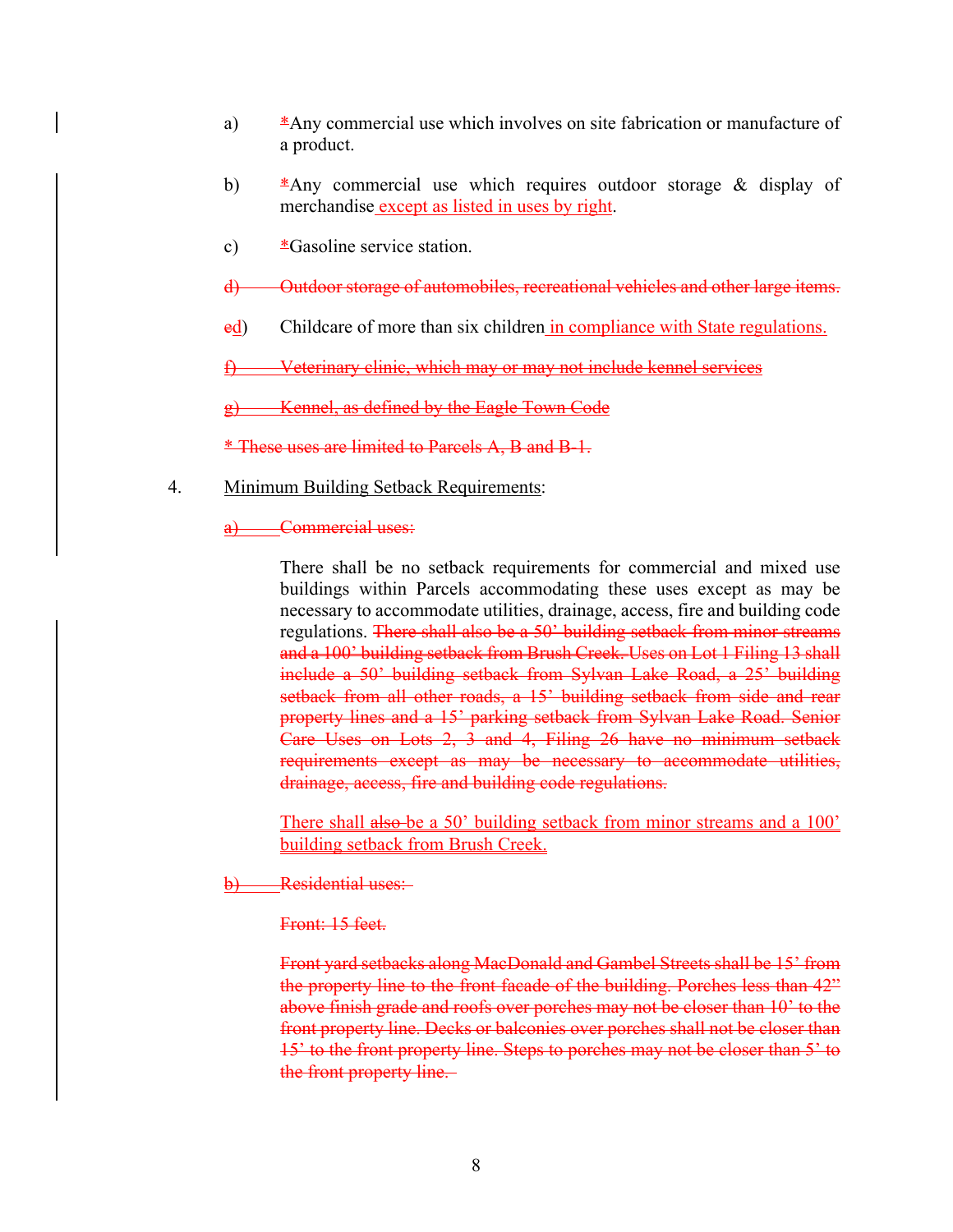- a) \*Any commercial use which involves on site fabrication or manufacture of a product.
- b) \*Any commercial use which requires outdoor storage & display of merchandise except as listed in uses by right.
- c)  $*$ Gasoline service station.
- d) Outdoor storage of automobiles, recreational vehicles and other large items.
- ed) Childcare of more than six children in compliance with State regulations.

f) Veterinary clinic, which may or may not include kennel services

Kennel, as defined by the Eagle Town Code

\* These uses are limited to Parcels A, B and B-1.

- 4. Minimum Building Setback Requirements:
	- a) Commercial uses:

There shall be no setback requirements for commercial and mixed use buildings within Parcels accommodating these uses except as may be necessary to accommodate utilities, drainage, access, fire and building code regulations. There shall also be a 50' building setback from minor streams and a 100' building setback from Brush Creek. Uses on Lot 1 Filing 13 shall include a 50' building setback from Sylvan Lake Road, a 25' building setback from all other roads, a 15' building setback from side and rear property lines and a 15' parking setback from Sylvan Lake Road. Senior Care Uses on Lots 2, 3 and 4, Filing 26 have no minimum setback requirements except as may be necessary to accommodate utilities, drainage, access, fire and building code regulations.

There shall also be a 50' building setback from minor streams and a 100' building setback from Brush Creek.

Residential uses:

Front: 15 feet.

Front yard setbacks along MacDonald and Gambel Streets shall be 15' from the property line to the front facade of the building. Porches less than 42" above finish grade and roofs over porches may not be closer than 10' to the front property line. Decks or balconies over porches shall not be closer than 15' to the front property line. Steps to porches may not be closer than 5' to the front property line.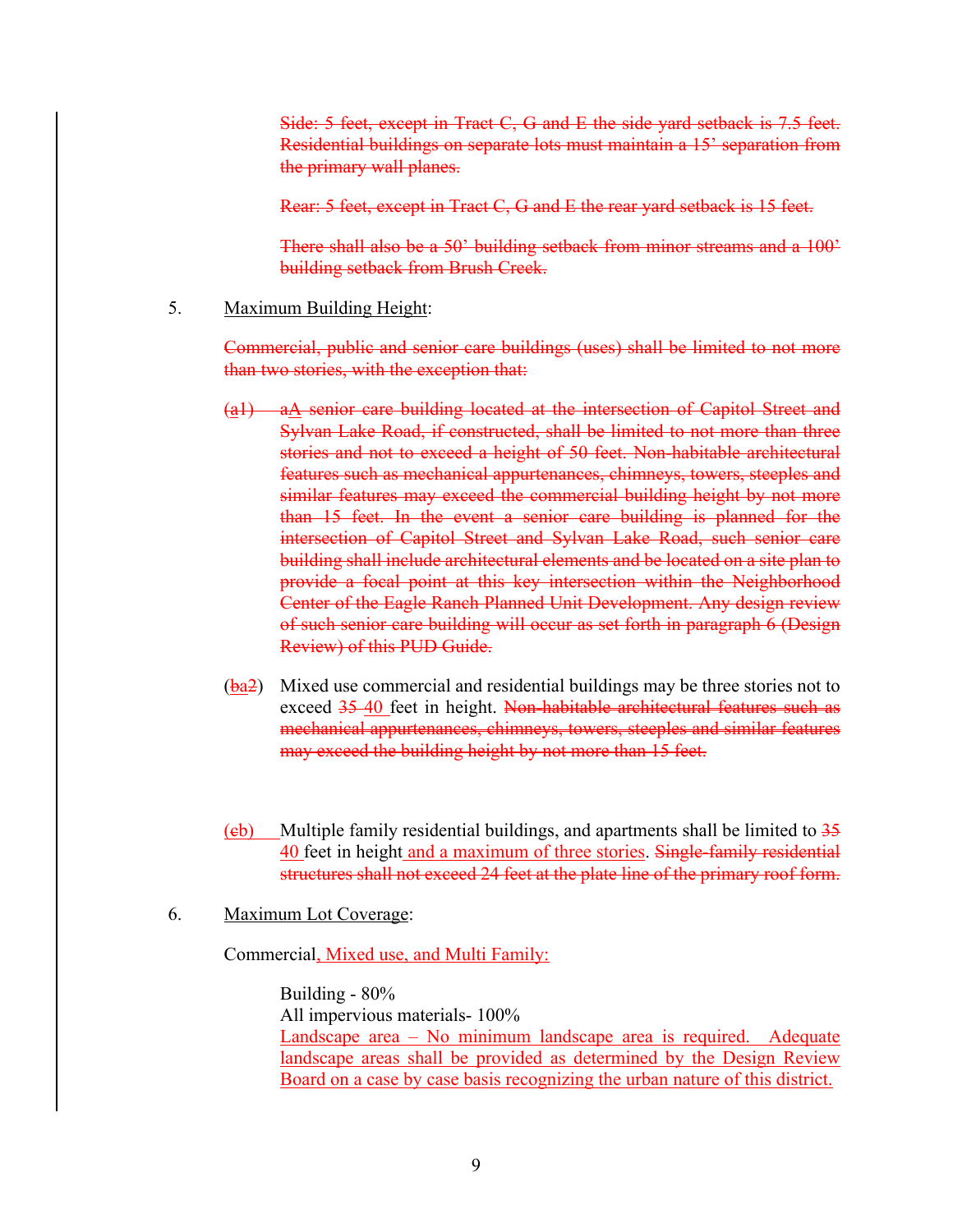Side: 5 feet, except in Tract C, G and E the side yard setback is 7.5 feet. Residential buildings on separate lots must maintain a 15' separation from the primary wall planes.

Rear: 5 feet, except in Tract C, G and E the rear yard setback is 15 feet.

There shall also be a 50' building setback from minor streams and a 100' building setback from Brush Creek.

#### 5. Maximum Building Height:

Commercial, public and senior care buildings (uses) shall be limited to not more than two stories, with the exception that:

- $(a_1)$  a $\Lambda$  senior care building located at the intersection of Capitol Street and Sylvan Lake Road, if constructed, shall be limited to not more than three stories and not to exceed a height of 50 feet. Non-habitable architectural features such as mechanical appurtenances, chimneys, towers, steeples and similar features may exceed the commercial building height by not more than 15 feet. In the event a senior care building is planned for the intersection of Capitol Street and Sylvan Lake Road, such senior care building shall include architectural elements and be located on a site plan to provide a focal point at this key intersection within the Neighborhood Center of the Eagle Ranch Planned Unit Development. Any design review of such senior care building will occur as set forth in paragraph 6 (Design Review) of this PUD Guide.
- (ba2) Mixed use commercial and residential buildings may be three stories not to exceed 35-40 feet in height. Non-habitable architectural features such as mechanical appurtenances, chimneys, towers, steeples and similar features may exceed the building height by not more than 15 feet.
- (eb) Multiple family residential buildings, and apartments shall be limited to  $35$ 40 feet in height and a maximum of three stories. Single-family residential structures shall not exceed 24 feet at the plate line of the primary roof form.
- 6. Maximum Lot Coverage:

Commercial, Mixed use, and Multi Family:

Building - 80% All impervious materials- 100% Landscape area – No minimum landscape area is required. Adequate landscape areas shall be provided as determined by the Design Review Board on a case by case basis recognizing the urban nature of this district.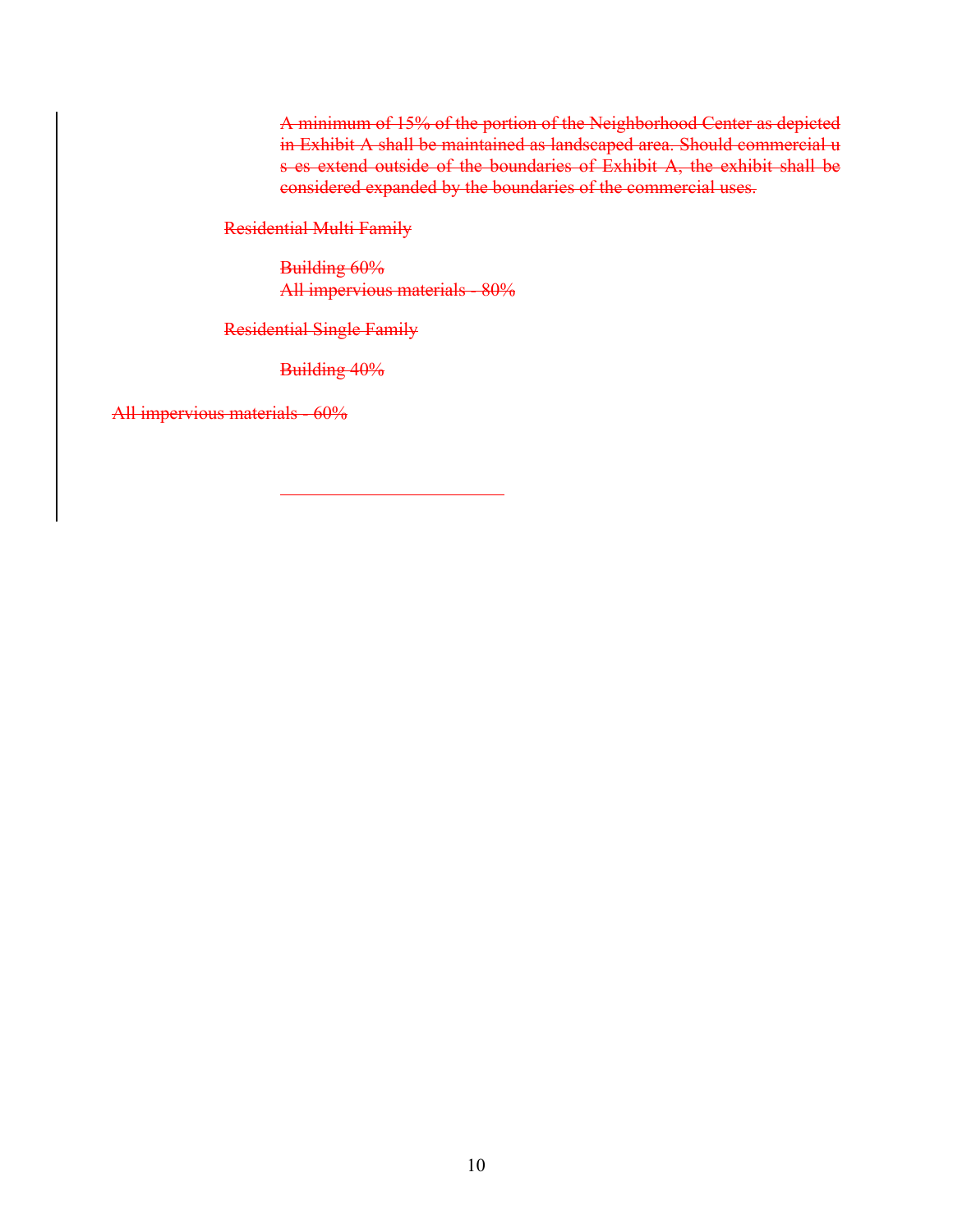A minimum of 15% of the portion of the Neighborhood Center as depicted in Exhibit A shall be maintained as landscaped area. Should commercial u s es extend outside of the boundaries of Exhibit A, the exhibit shall be considered expanded by the boundaries of the commercial uses.

Residential Multi Family

Building 60% All impervious materials - 80%

Residential Single Family

Building 40%

All impervious materials - 60%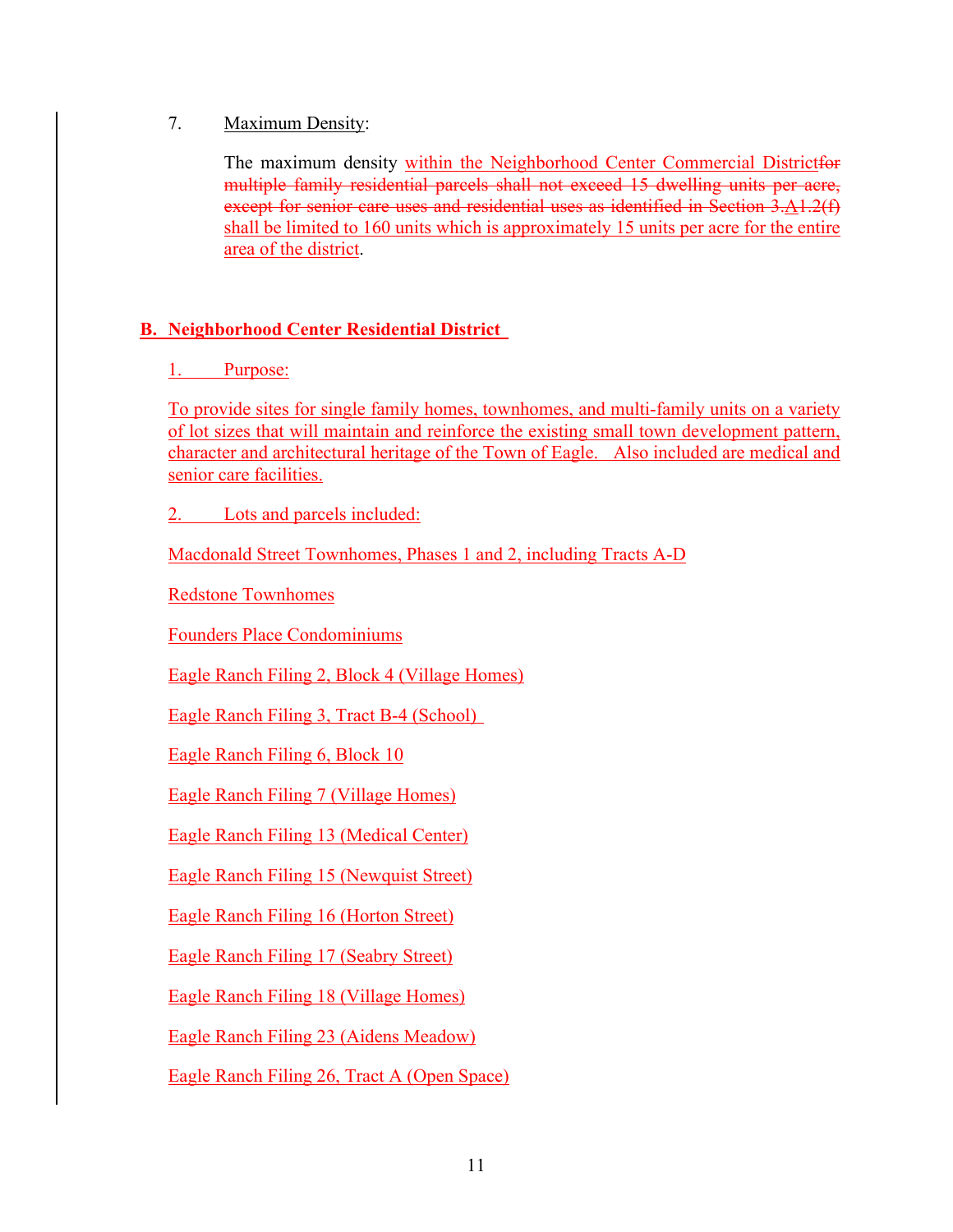## 7. Maximum Density:

The maximum density within the Neighborhood Center Commercial Districtfor multiple family residential parcels shall not exceed 15 dwelling units per acre, except for senior care uses and residential uses as identified in Section 3.A1.2(f) shall be limited to 160 units which is approximately 15 units per acre for the entire area of the district.

# **B. Neighborhood Center Residential District**

# 1. Purpose:

To provide sites for single family homes, townhomes, and multi-family units on a variety of lot sizes that will maintain and reinforce the existing small town development pattern, character and architectural heritage of the Town of Eagle. Also included are medical and senior care facilities.

2. Lots and parcels included:

Macdonald Street Townhomes, Phases 1 and 2, including Tracts A-D

Redstone Townhomes

Founders Place Condominiums

Eagle Ranch Filing 2, Block 4 (Village Homes)

Eagle Ranch Filing 3, Tract B-4 (School)

Eagle Ranch Filing 6, Block 10

Eagle Ranch Filing 7 (Village Homes)

Eagle Ranch Filing 13 (Medical Center)

Eagle Ranch Filing 15 (Newquist Street)

Eagle Ranch Filing 16 (Horton Street)

Eagle Ranch Filing 17 (Seabry Street)

Eagle Ranch Filing 18 (Village Homes)

Eagle Ranch Filing 23 (Aidens Meadow)

Eagle Ranch Filing 26, Tract A (Open Space)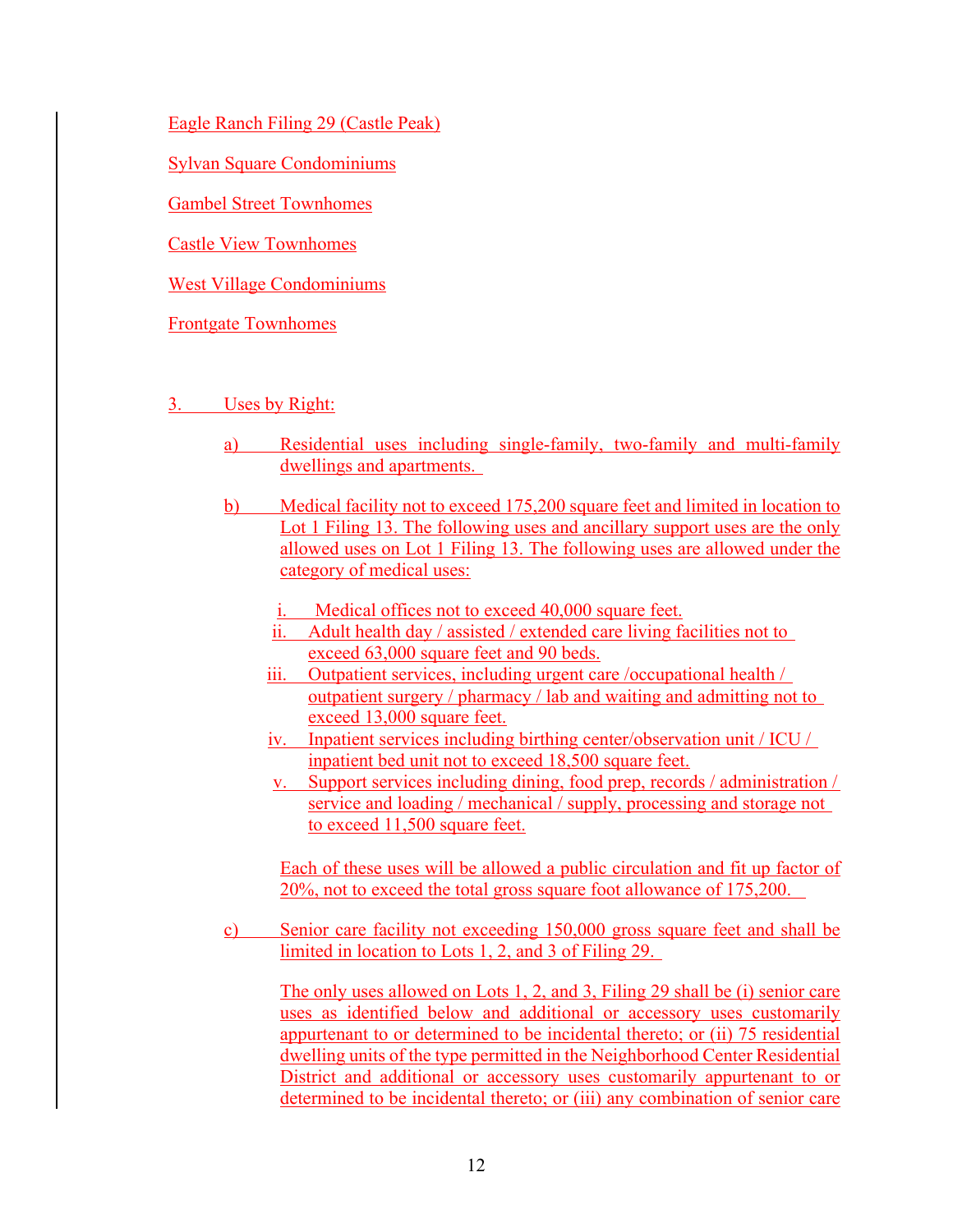Eagle Ranch Filing 29 (Castle Peak)

Sylvan Square Condominiums

Gambel Street Townhomes

Castle View Townhomes

West Village Condominiums

Frontgate Townhomes

- 3. Uses by Right:
	- a) Residential uses including single-family, two-family and multi-family dwellings and apartments.
	- b) Medical facility not to exceed 175,200 square feet and limited in location to Lot 1 Filing 13. The following uses and ancillary support uses are the only allowed uses on Lot 1 Filing 13. The following uses are allowed under the category of medical uses:
		- i. Medical offices not to exceed 40,000 square feet.
		- ii. Adult health day / assisted / extended care living facilities not to exceed 63,000 square feet and 90 beds.
		- iii. Outpatient services, including urgent care /occupational health / outpatient surgery / pharmacy / lab and waiting and admitting not to exceed 13,000 square feet.
		- iv. Inpatient services including birthing center/observation unit / ICU / inpatient bed unit not to exceed 18,500 square feet.
		- v. Support services including dining, food prep, records / administration / service and loading / mechanical / supply, processing and storage not to exceed 11,500 square feet.

Each of these uses will be allowed a public circulation and fit up factor of 20%, not to exceed the total gross square foot allowance of 175,200.

c) Senior care facility not exceeding 150,000 gross square feet and shall be limited in location to Lots 1, 2, and 3 of Filing 29.

The only uses allowed on Lots 1, 2, and 3, Filing 29 shall be (i) senior care uses as identified below and additional or accessory uses customarily appurtenant to or determined to be incidental thereto; or (ii) 75 residential dwelling units of the type permitted in the Neighborhood Center Residential District and additional or accessory uses customarily appurtenant to or determined to be incidental thereto; or (iii) any combination of senior care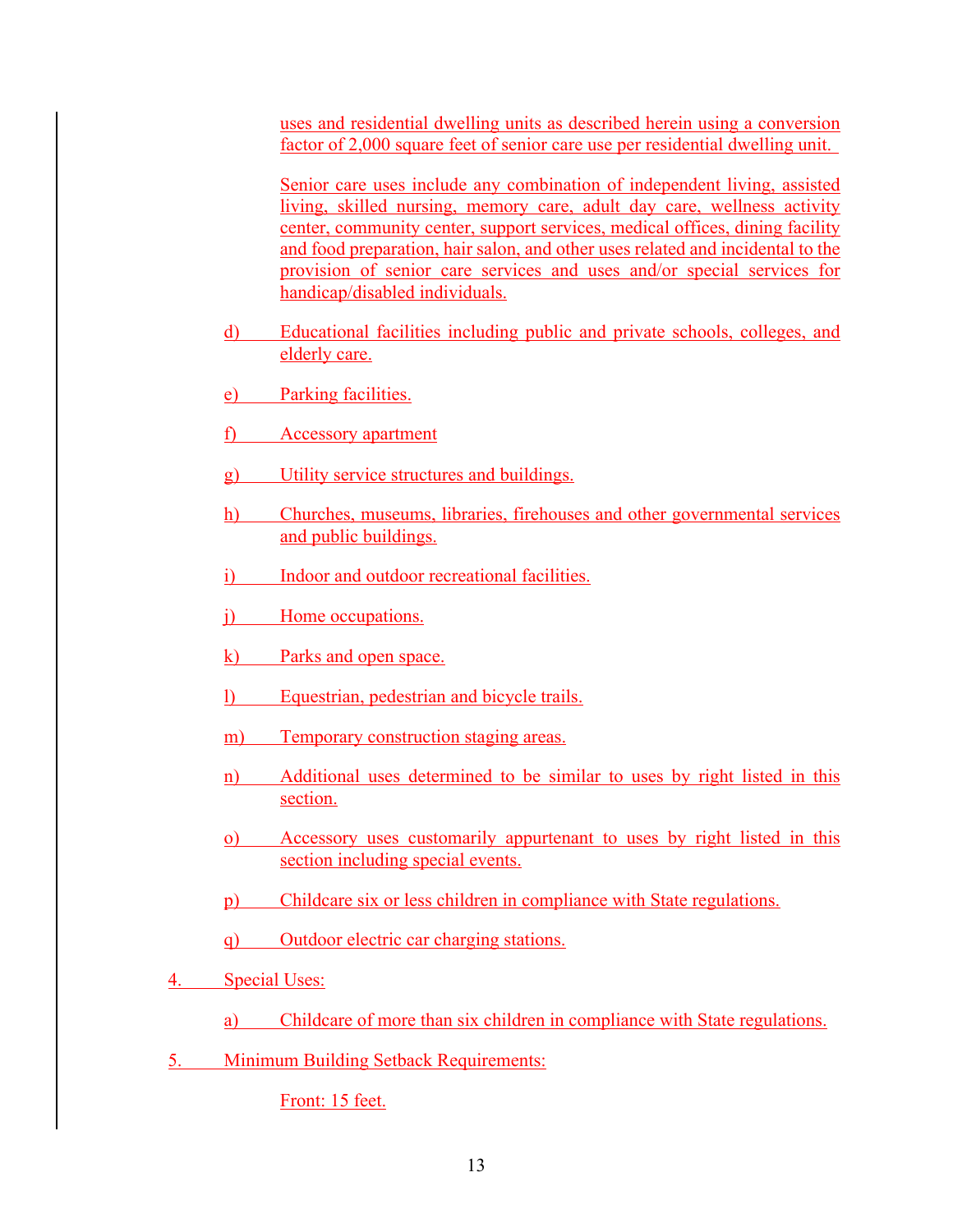uses and residential dwelling units as described herein using a conversion factor of 2,000 square feet of senior care use per residential dwelling unit.

Senior care uses include any combination of independent living, assisted living, skilled nursing, memory care, adult day care, wellness activity center, community center, support services, medical offices, dining facility and food preparation, hair salon, and other uses related and incidental to the provision of senior care services and uses and/or special services for handicap/disabled individuals.

- d) Educational facilities including public and private schools, colleges, and elderly care.
- e) Parking facilities.
- f) Accessory apartment
- g) Utility service structures and buildings.
- h) Churches, museums, libraries, firehouses and other governmental services and public buildings.
- i) Indoor and outdoor recreational facilities.
- j) Home occupations.
- k) Parks and open space.
- l) Equestrian, pedestrian and bicycle trails.
- m) Temporary construction staging areas.
- n) Additional uses determined to be similar to uses by right listed in this section.
- o) Accessory uses customarily appurtenant to uses by right listed in this section including special events.
- p) Childcare six or less children in compliance with State regulations.
- q) Outdoor electric car charging stations.
- 4. Special Uses:
	- a) Childcare of more than six children in compliance with State regulations.
- 5. Minimum Building Setback Requirements:

Front: 15 feet.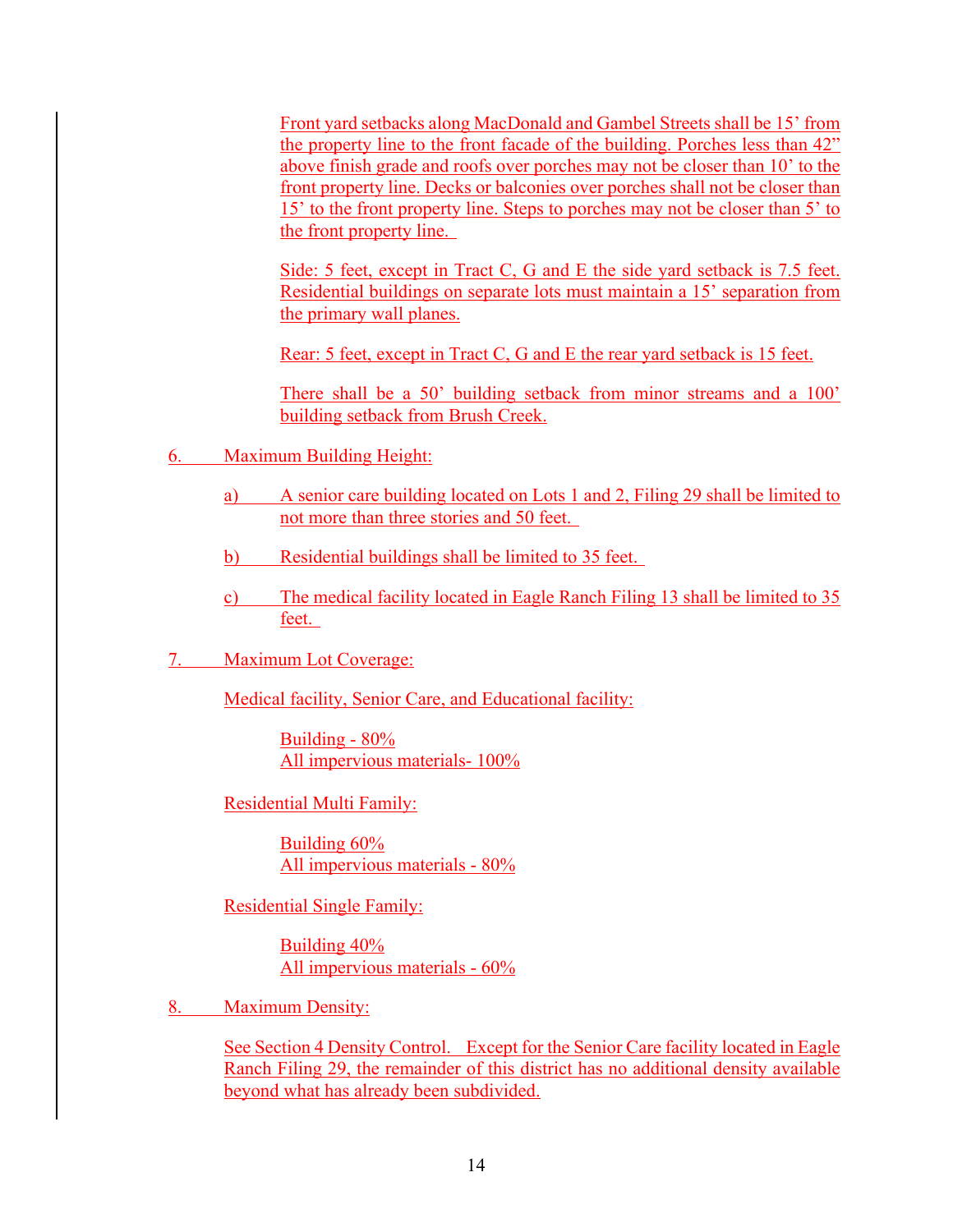Front yard setbacks along MacDonald and Gambel Streets shall be 15' from the property line to the front facade of the building. Porches less than 42" above finish grade and roofs over porches may not be closer than 10' to the front property line. Decks or balconies over porches shall not be closer than 15' to the front property line. Steps to porches may not be closer than 5' to the front property line.

Side: 5 feet, except in Tract C, G and E the side yard setback is 7.5 feet. Residential buildings on separate lots must maintain a 15' separation from the primary wall planes.

Rear: 5 feet, except in Tract C, G and E the rear yard setback is 15 feet.

There shall be a 50' building setback from minor streams and a 100' building setback from Brush Creek.

- 6. Maximum Building Height:
	- a) A senior care building located on Lots 1 and 2, Filing 29 shall be limited to not more than three stories and 50 feet.
	- b) Residential buildings shall be limited to 35 feet.
	- c) The medical facility located in Eagle Ranch Filing 13 shall be limited to 35 feet.
- 7. Maximum Lot Coverage:

Medical facility, Senior Care, and Educational facility:

Building - 80% All impervious materials- 100%

Residential Multi Family:

Building 60% All impervious materials - 80%

Residential Single Family:

Building 40% All impervious materials - 60%

8. Maximum Density:

See Section 4 Density Control. Except for the Senior Care facility located in Eagle Ranch Filing 29, the remainder of this district has no additional density available beyond what has already been subdivided.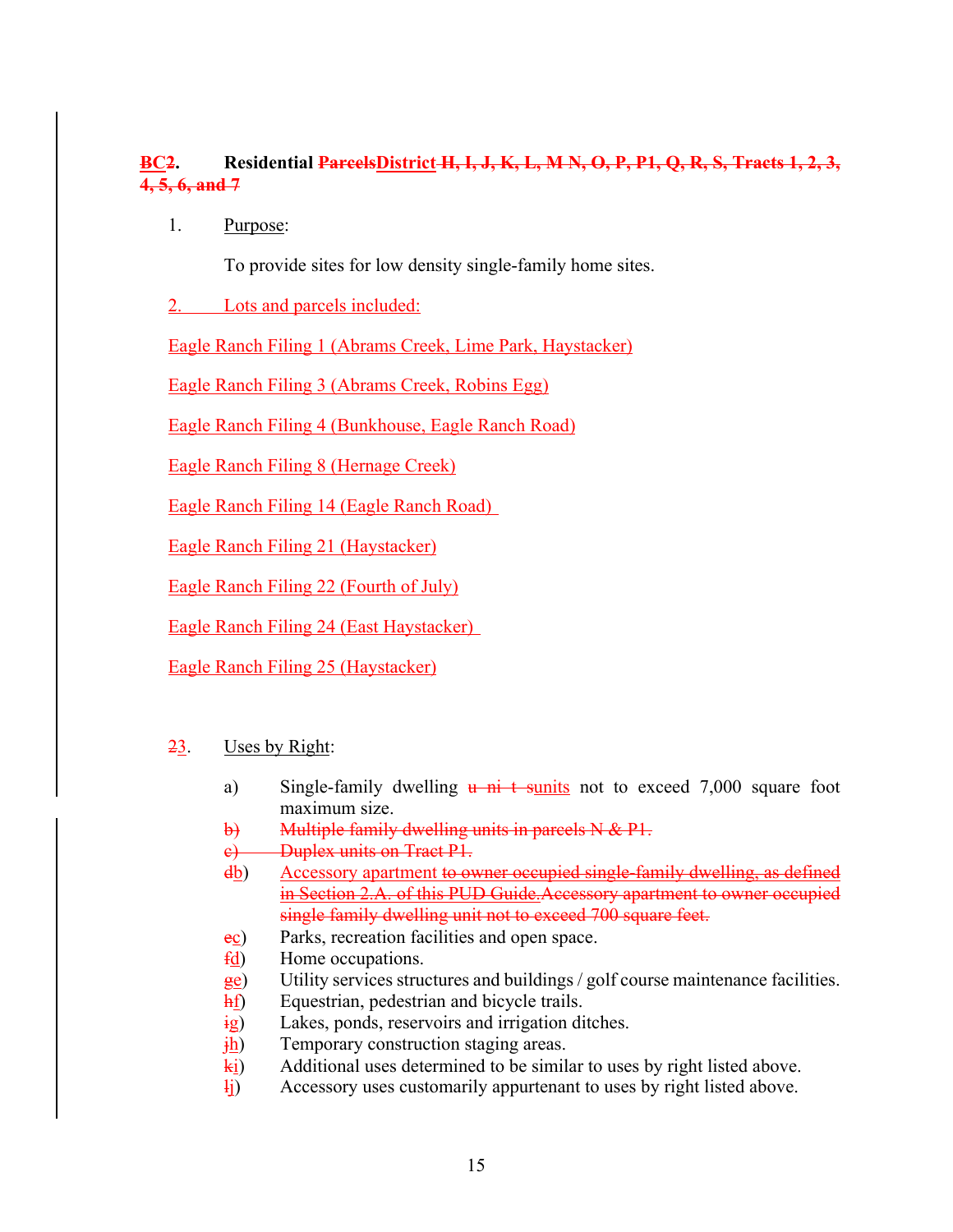# **BC2. Residential ParcelsDistrict H, I, J, K, L, M N, O, P, P1, Q, R, S, Tracts 1, 2, 3, 4, 5, 6, and 7**

1. Purpose:

To provide sites for low density single-family home sites.

2. Lots and parcels included:

Eagle Ranch Filing 1 (Abrams Creek, Lime Park, Haystacker)

Eagle Ranch Filing 3 (Abrams Creek, Robins Egg)

Eagle Ranch Filing 4 (Bunkhouse, Eagle Ranch Road)

Eagle Ranch Filing 8 (Hernage Creek)

Eagle Ranch Filing 14 (Eagle Ranch Road)

Eagle Ranch Filing 21 (Haystacker)

Eagle Ranch Filing 22 (Fourth of July)

Eagle Ranch Filing 24 (East Haystacker)

Eagle Ranch Filing 25 (Haystacker)

#### 23. Uses by Right:

- a) Single-family dwelling  $\frac{u}{v}$  ni t sunits not to exceed 7,000 square foot maximum size.
- b) Multiple family dwelling units in parcels N & P1.
- c) Duplex units on Tract P1.
- db) Accessory apartment to owner occupied single-family dwelling, as defined in Section 2.A. of this PUD Guide. Accessory apartment to owner occupied single family dwelling unit not to exceed 700 square feet.
- ec) Parks, recreation facilities and open space.
- fd) Home occupations.
- ge) Utility services structures and buildings / golf course maintenance facilities.
- hf) Equestrian, pedestrian and bicycle trails.
- ig) Lakes, ponds, reservoirs and irrigation ditches.
- $\frac{1}{10}$  Temporary construction staging areas.
- ki) Additional uses determined to be similar to uses by right listed above.
- $\frac{1}{1}$ ) Accessory uses customarily appurtenant to uses by right listed above.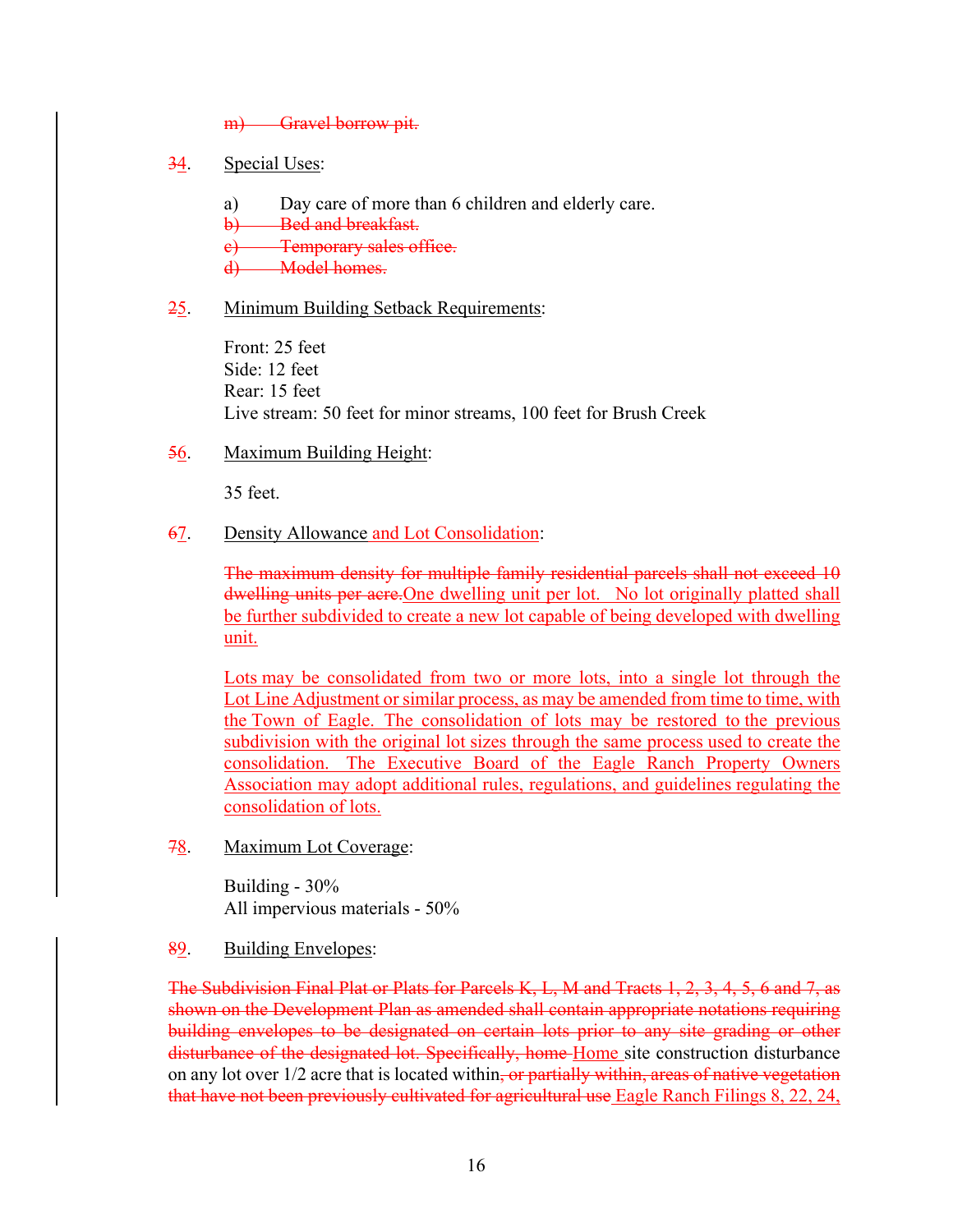- m) Gravel borrow pit.
- 34. Special Uses:
	- a) Day care of more than 6 children and elderly care.
	- b) Bed and breakfast.
	- e) Temporary sales office.
	- d) Model homes.

#### 25. Minimum Building Setback Requirements:

Front: 25 feet Side: 12 feet Rear: 15 feet Live stream: 50 feet for minor streams, 100 feet for Brush Creek

56. Maximum Building Height:

35 feet.

#### 67. Density Allowance and Lot Consolidation:

The maximum density for multiple family residential parcels shall not exceed 10 dwelling units per acre. One dwelling unit per lot. No lot originally platted shall be further subdivided to create a new lot capable of being developed with dwelling unit.

Lots may be consolidated from two or more lots, into a single lot through the Lot Line Adjustment or similar process, as may be amended from time to time, with the Town of Eagle. The consolidation of lots may be restored to the previous subdivision with the original lot sizes through the same process used to create the consolidation. The Executive Board of the Eagle Ranch Property Owners Association may adopt additional rules, regulations, and guidelines regulating the consolidation of lots.

78. Maximum Lot Coverage:

Building - 30% All impervious materials - 50%

89. Building Envelopes:

The Subdivision Final Plat or Plats for Parcels K, L, M and Tracts 1, 2, 3, 4, 5, 6 and 7, as shown on the Development Plan as amended shall contain appropriate notations requiring building envelopes to be designated on certain lots prior to any site grading or other disturbance of the designated lot. Specifically, home Home site construction disturbance on any lot over 1/2 acre that is located within, or partially within, areas of native vegetation that have not been previously cultivated for agricultural use Eagle Ranch Filings 8, 22, 24,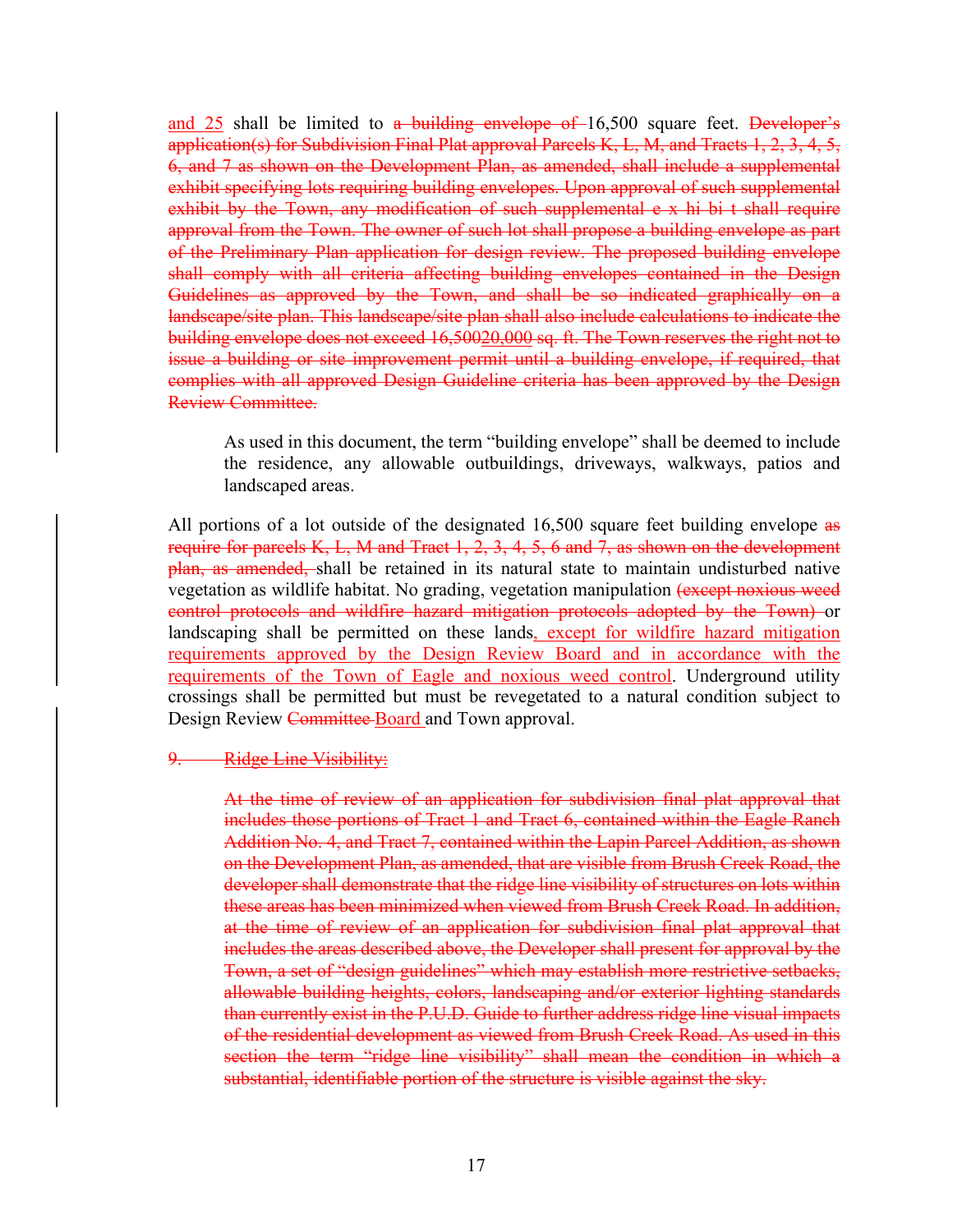and  $25$  shall be limited to a building envelope of  $16,500$  square feet. Developer's application(s) for Subdivision Final Plat approval Parcels K, L, M, and Tracts 1, 2, 3, 4, 5, 6, and 7 as shown on the Development Plan, as amended, shall include a supplemental exhibit specifying lots requiring building envelopes. Upon approval of such supplemental exhibit by the Town, any modification of such supplemental e x hi bi t shall require approval from the Town. The owner of such lot shall propose a building envelope as part of the Preliminary Plan application for design review. The proposed building envelope shall comply with all criteria affecting building envelopes contained in the Design Guidelines as approved by the Town, and shall be so indicated graphically on a landscape/site plan. This landscape/site plan shall also include calculations to indicate the building envelope does not exceed 16,50020,000 sq. ft. The Town reserves the right not to issue a building or site improvement permit until a building envelope, if required, that complies with all approved Design Guideline criteria has been approved by the Design Review Committee.

As used in this document, the term "building envelope" shall be deemed to include the residence, any allowable outbuildings, driveways, walkways, patios and landscaped areas.

All portions of a lot outside of the designated 16,500 square feet building envelope as require for parcels K, L, M and Tract 1, 2, 3, 4, 5, 6 and 7, as shown on the development plan, as amended, shall be retained in its natural state to maintain undisturbed native vegetation as wildlife habitat. No grading, vegetation manipulation (except noxious weed control protocols and wildfire hazard mitigation protocols adopted by the Town) or landscaping shall be permitted on these lands, except for wildfire hazard mitigation requirements approved by the Design Review Board and in accordance with the requirements of the Town of Eagle and noxious weed control. Underground utility crossings shall be permitted but must be revegetated to a natural condition subject to Design Review Committee Board and Town approval.

#### 9. Ridge Line Visibility:

At the time of review of an application for subdivision final plat approval that includes those portions of Tract 1 and Tract 6, contained within the Eagle Ranch Addition No. 4, and Tract 7, contained within the Lapin Parcel Addition, as shown on the Development Plan, as amended, that are visible from Brush Creek Road, the developer shall demonstrate that the ridge line visibility of structures on lots within these areas has been minimized when viewed from Brush Creek Road. In addition, at the time of review of an application for subdivision final plat approval that includes the areas described above, the Developer shall present for approval by the Town, a set of "design guidelines" which may establish more restrictive setbacks, allowable building heights, colors, landscaping and/or exterior lighting standards than currently exist in the P.U.D. Guide to further address ridge line visual impacts of the residential development as viewed from Brush Creek Road. As used in this section the term "ridge line visibility" shall mean the condition in which a substantial, identifiable portion of the structure is visible against the sky.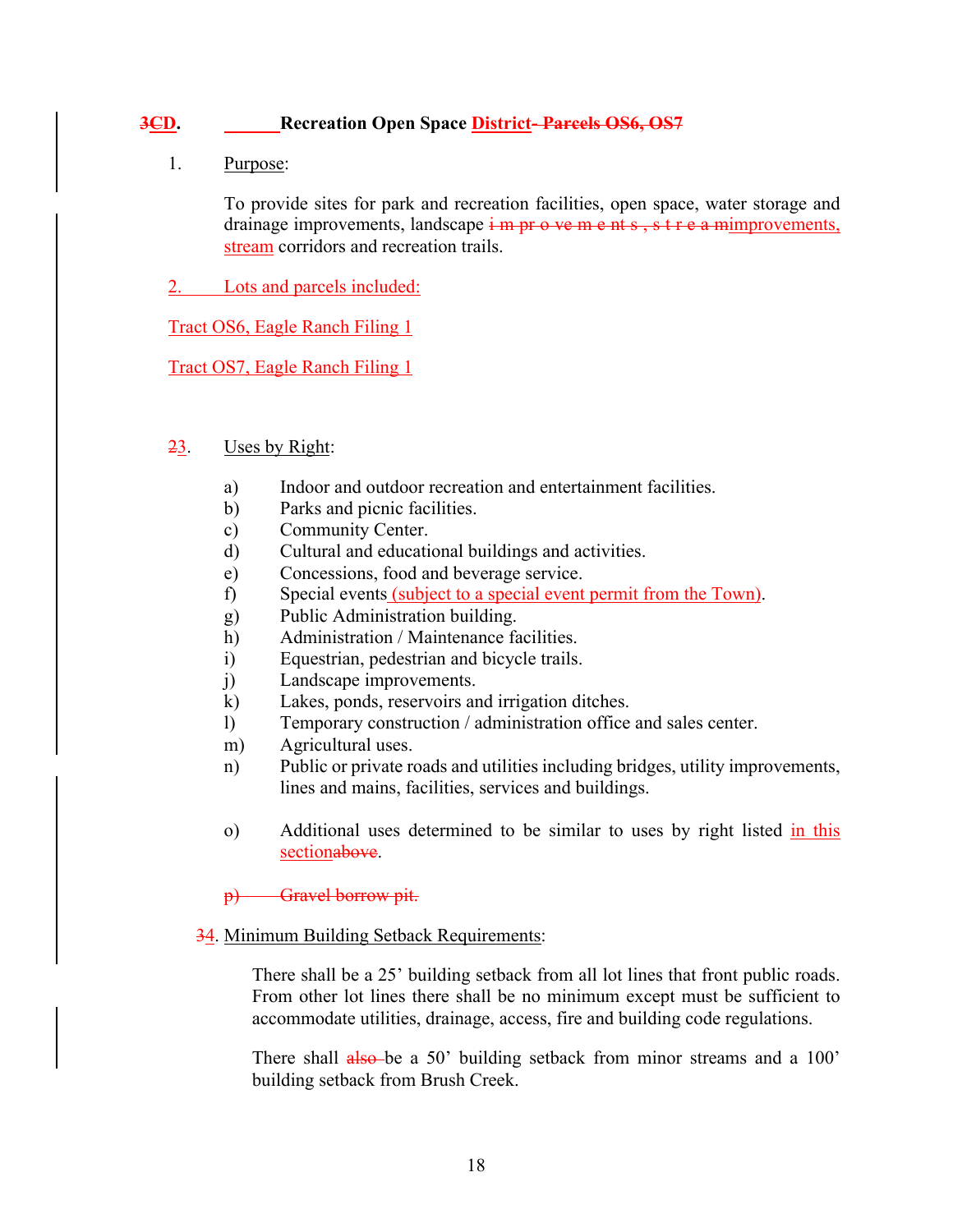# **3CD. Recreation Open Space District- Parcels OS6, OS7**

#### 1. Purpose:

To provide sites for park and recreation facilities, open space, water storage and drainage improvements, landscape  $\frac{1}{2}$  m pr  $\sigma$  ve m e nt s, s t r e a mimprovements, stream corridors and recreation trails.

2. Lots and parcels included:

Tract OS6, Eagle Ranch Filing 1

Tract OS7, Eagle Ranch Filing 1

## 23. Uses by Right:

- a) Indoor and outdoor recreation and entertainment facilities.
- b) Parks and picnic facilities.
- c) Community Center.
- d) Cultural and educational buildings and activities.
- e) Concessions, food and beverage service.
- f) Special events (subject to a special event permit from the Town).
- g) Public Administration building.
- h) Administration / Maintenance facilities.
- i) Equestrian, pedestrian and bicycle trails.
- j) Landscape improvements.
- k) Lakes, ponds, reservoirs and irrigation ditches.
- l) Temporary construction / administration office and sales center.
- m) Agricultural uses.
- n) Public or private roads and utilities including bridges, utility improvements, lines and mains, facilities, services and buildings.
- o) Additional uses determined to be similar to uses by right listed in this sectionabove.

#### p) Gravel borrow pit.

#### 34. Minimum Building Setback Requirements:

There shall be a 25' building setback from all lot lines that front public roads. From other lot lines there shall be no minimum except must be sufficient to accommodate utilities, drainage, access, fire and building code regulations.

There shall also be a 50' building setback from minor streams and a 100' building setback from Brush Creek.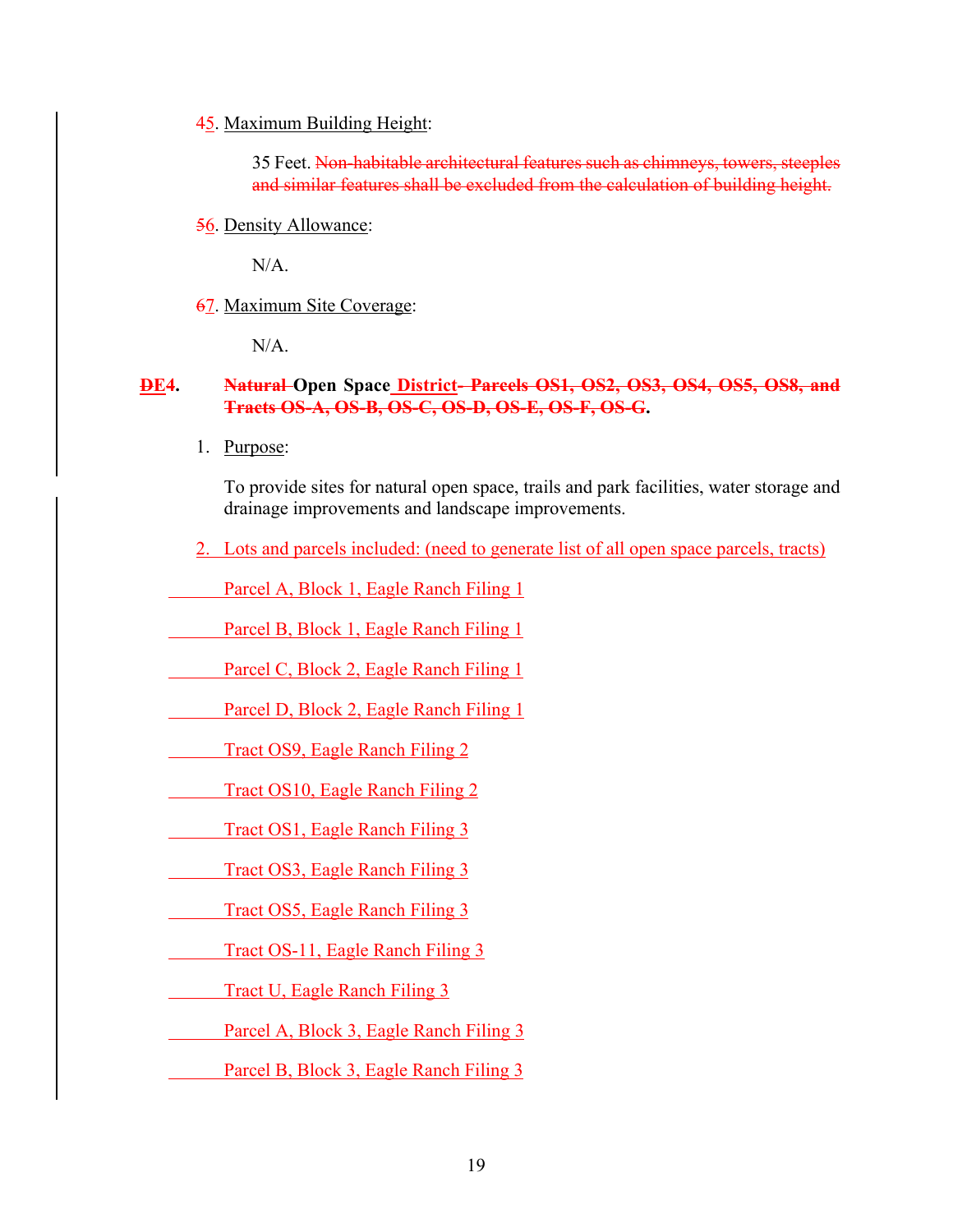#### 45. Maximum Building Height:

35 Feet. Non-habitable architectural features such as chimneys, towers, steeples and similar features shall be excluded from the calculation of building height.

56. Density Allowance:

N/A.

67. Maximum Site Coverage:

 $N/A$ .

## **DE4. Natural Open Space District- Parcels OS1, OS2, OS3, OS4, OS5, OS8, and Tracts OS-A, OS-B, OS-C, OS-D, OS-E, OS-F, OS-G.**

1. Purpose:

To provide sites for natural open space, trails and park facilities, water storage and drainage improvements and landscape improvements.

2. Lots and parcels included: (need to generate list of all open space parcels, tracts)

Parcel A, Block 1, Eagle Ranch Filing 1

Parcel B, Block 1, Eagle Ranch Filing 1

Parcel C, Block 2, Eagle Ranch Filing 1

Parcel D, Block 2, Eagle Ranch Filing 1

Tract OS9, Eagle Ranch Filing 2

Tract OS10, Eagle Ranch Filing 2

Tract OS1, Eagle Ranch Filing 3

Tract OS3, Eagle Ranch Filing 3

Tract OS5, Eagle Ranch Filing 3

Tract OS-11, Eagle Ranch Filing 3

Tract U, Eagle Ranch Filing 3

Parcel A, Block 3, Eagle Ranch Filing 3

Parcel B, Block 3, Eagle Ranch Filing 3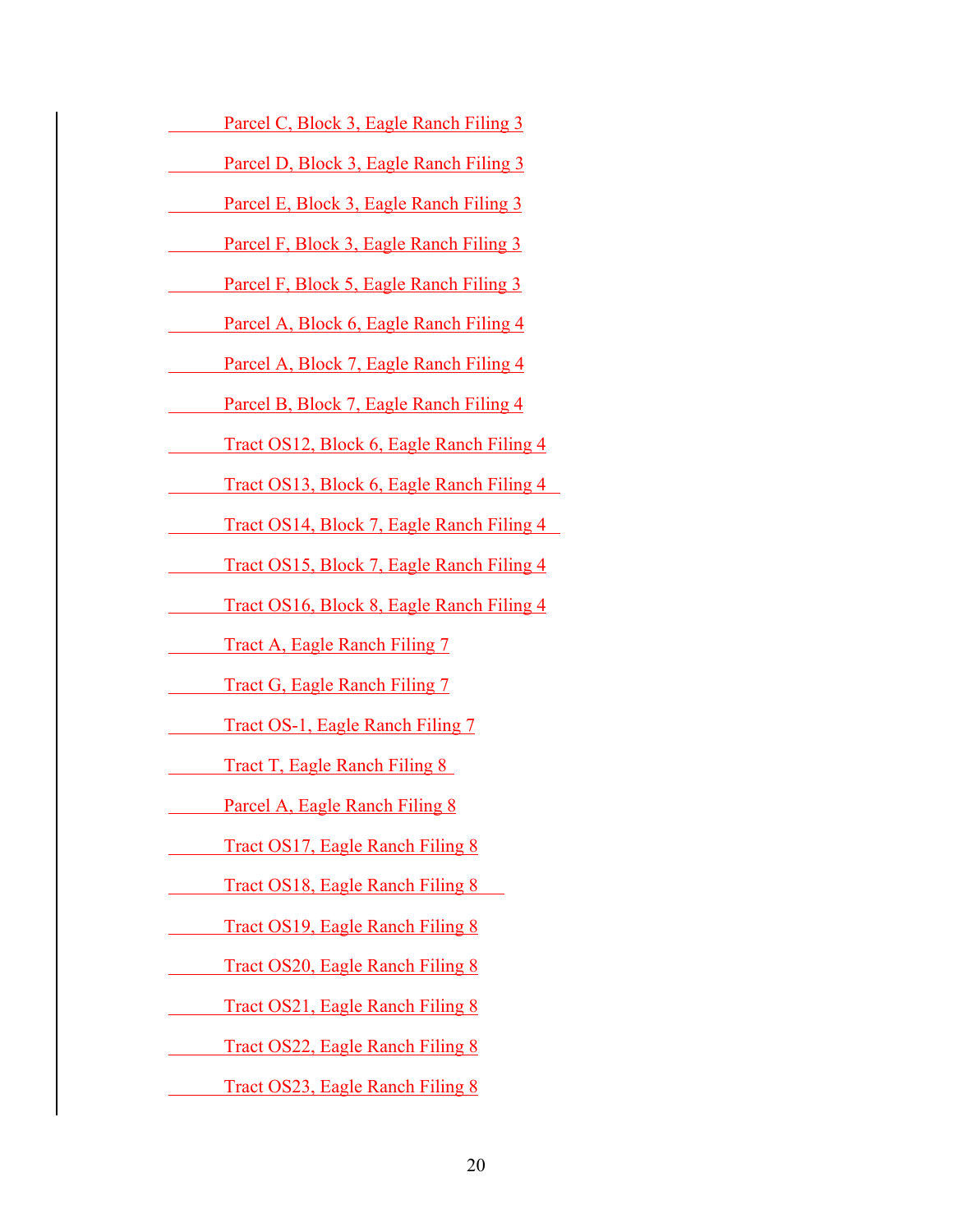Tract OS20, Eagle Ranch Filing 8

Tract OS21, Eagle Ranch Filing 8

Tract OS22, Eagle Ranch Filing 8

Tract OS23, Eagle Ranch Filing 8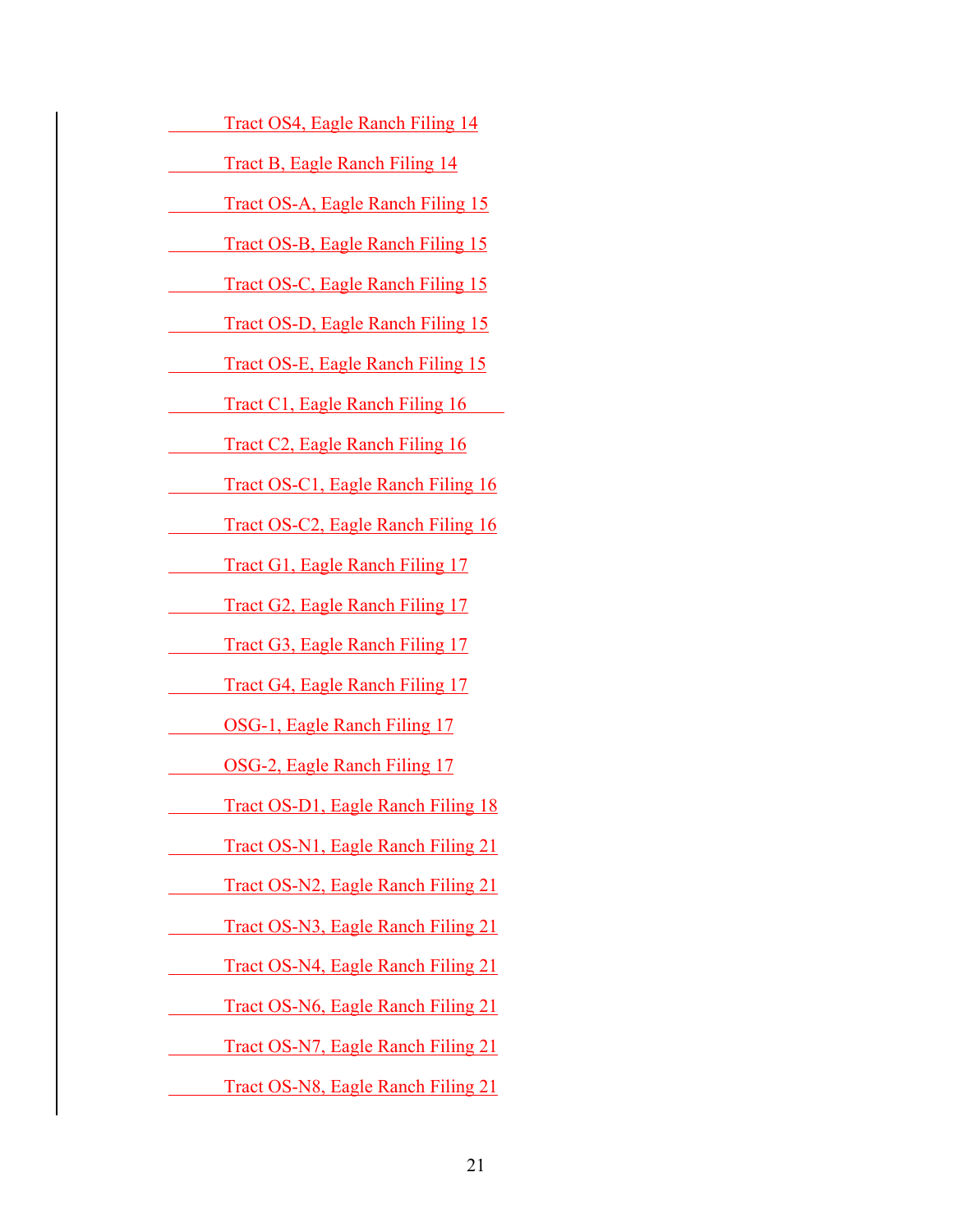- Tract OS4, Eagle Ranch Filing 14
- Tract B, Eagle Ranch Filing 14
- Tract OS-A, Eagle Ranch Filing 15
	- Tract OS-B, Eagle Ranch Filing 15
- Tract OS-C, Eagle Ranch Filing 15
- Tract OS-D, Eagle Ranch Filing 15
	- Tract OS-E, Eagle Ranch Filing 15
	- Tract C1, Eagle Ranch Filing 16
	- Tract C2, Eagle Ranch Filing 16
	- Tract OS-C1, Eagle Ranch Filing 16
- Tract OS-C2, Eagle Ranch Filing 16
- Tract G1, Eagle Ranch Filing 17
- Tract G2, Eagle Ranch Filing 17
- Tract G3, Eagle Ranch Filing 17
	- Tract G4, Eagle Ranch Filing 17
		- OSG-1, Eagle Ranch Filing 17
- OSG-2, Eagle Ranch Filing 17
- Tract OS-D1, Eagle Ranch Filing 18
- Tract OS-N1, Eagle Ranch Filing 21
- Tract OS-N2, Eagle Ranch Filing 21
- Tract OS-N3, Eagle Ranch Filing 21
- Tract OS-N4, Eagle Ranch Filing 21
- Tract OS-N6, Eagle Ranch Filing 21
- Tract OS-N7, Eagle Ranch Filing 21
	- Tract OS-N8, Eagle Ranch Filing 21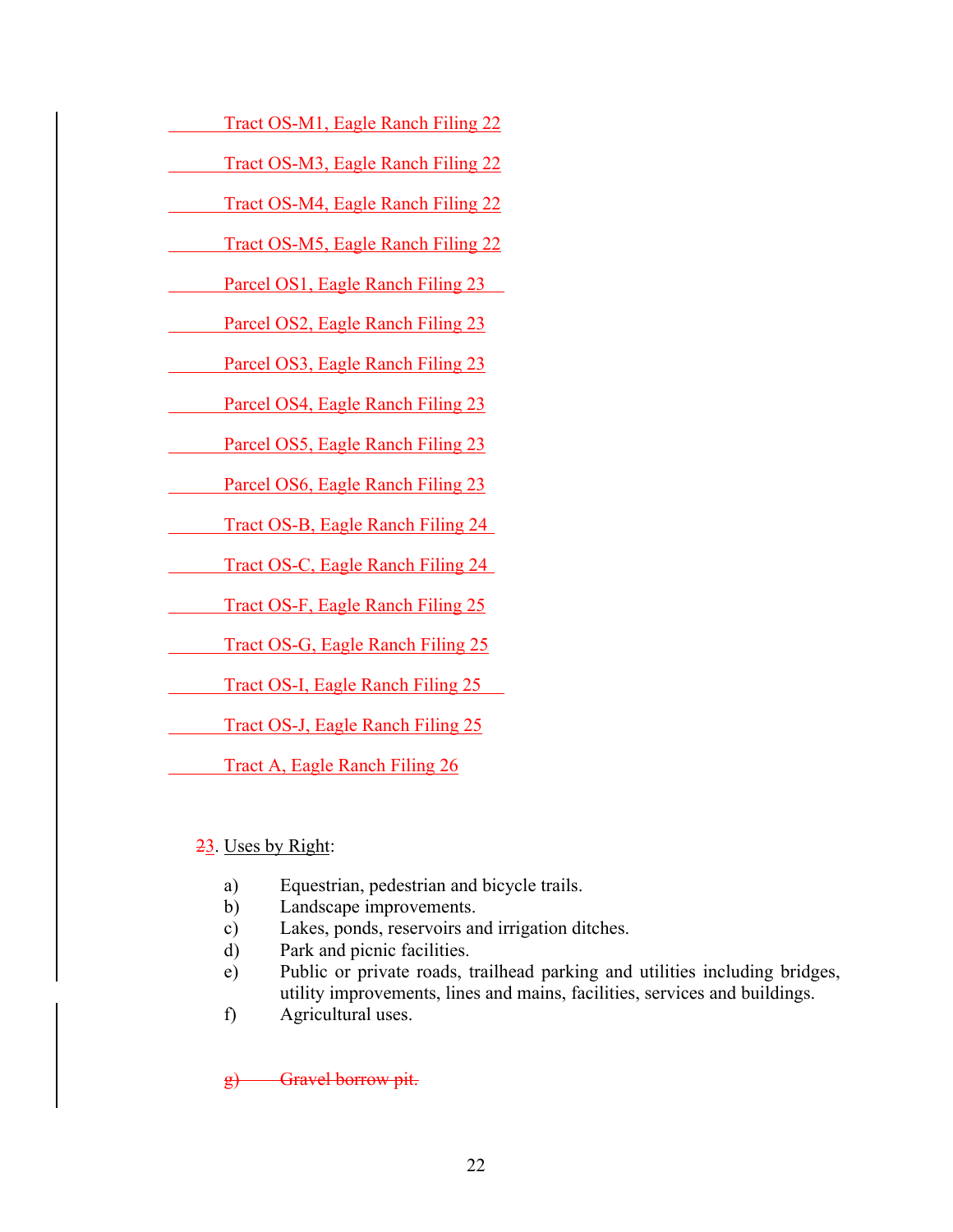- Tract OS-M1, Eagle Ranch Filing 22
- Tract OS-M3, Eagle Ranch Filing 22
- Tract OS-M4, Eagle Ranch Filing 22
- Tract OS-M5, Eagle Ranch Filing 22
- Parcel OS1, Eagle Ranch Filing 23
- Parcel OS2, Eagle Ranch Filing 23
	- Parcel OS3, Eagle Ranch Filing 23
	- Parcel OS4, Eagle Ranch Filing 23
	- Parcel OS5, Eagle Ranch Filing 23
	- Parcel OS6, Eagle Ranch Filing 23
- Tract OS-B, Eagle Ranch Filing 24
- Tract OS-C, Eagle Ranch Filing 24
- Tract OS-F, Eagle Ranch Filing 25
	- Tract OS-G, Eagle Ranch Filing 25
		- Tract OS-I, Eagle Ranch Filing 25
		- Tract OS-J, Eagle Ranch Filing 25
		- Tract A, Eagle Ranch Filing 26
	- 23. Uses by Right:
		- a) Equestrian, pedestrian and bicycle trails.
		- b) Landscape improvements.
		- c) Lakes, ponds, reservoirs and irrigation ditches.
		- d) Park and picnic facilities.
		- e) Public or private roads, trailhead parking and utilities including bridges, utility improvements, lines and mains, facilities, services and buildings.
		- f) Agricultural uses.

g) Gravel borrow pit.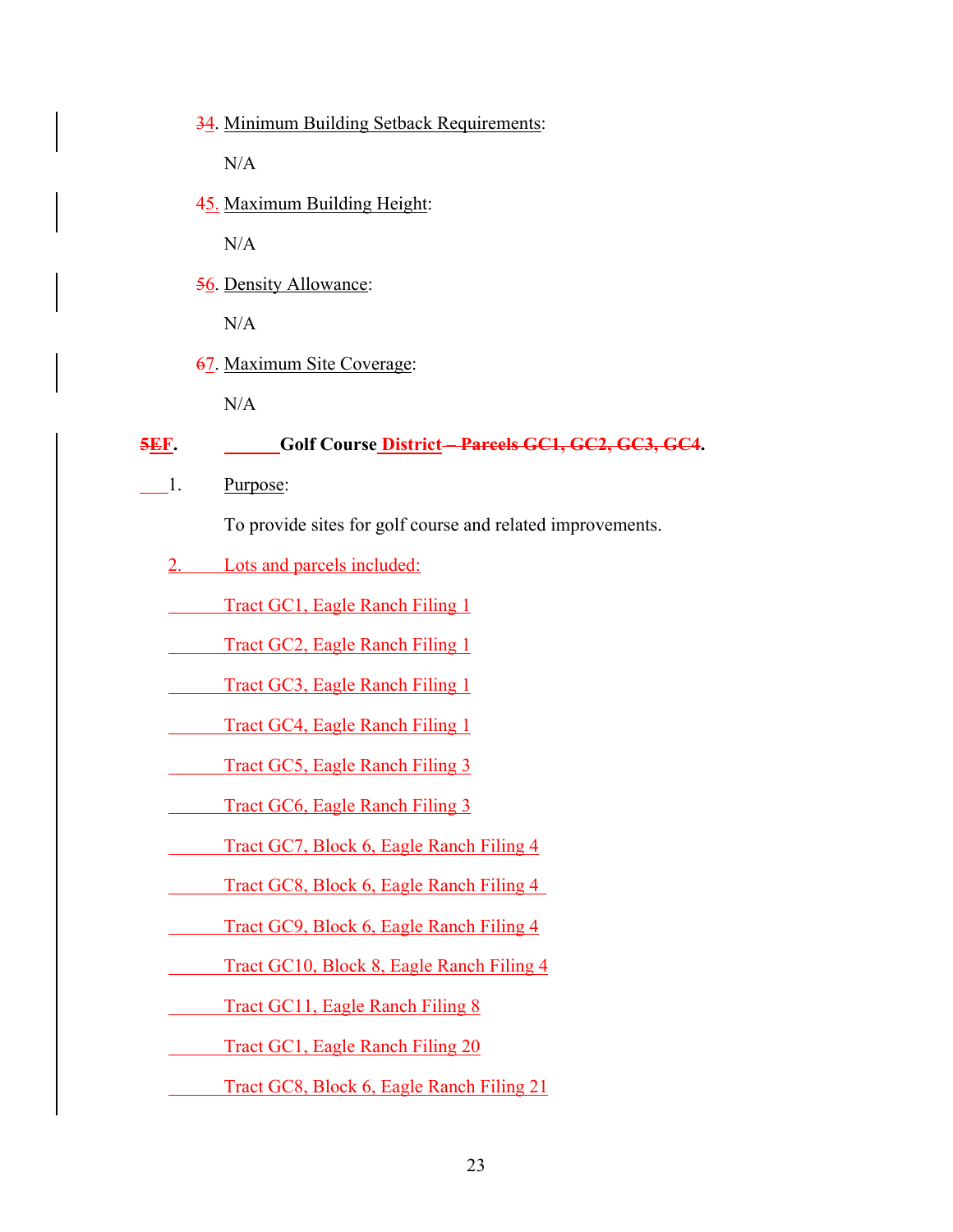34. Minimum Building Setback Requirements:

 $N/A$ 

45. Maximum Building Height:

N/A

56. Density Allowance:

 $N/A$ 

67. Maximum Site Coverage:

N/A

#### **5EF. Golf Course District – Parcels GC1, GC2, GC3, GC4.**

1. Purpose:

To provide sites for golf course and related improvements.

- 2. Lots and parcels included:
- Tract GC1, Eagle Ranch Filing 1

Tract GC2, Eagle Ranch Filing 1

Tract GC3, Eagle Ranch Filing 1

Tract GC4, Eagle Ranch Filing 1

Tract GC5, Eagle Ranch Filing 3

Tract GC6, Eagle Ranch Filing 3

- Tract GC7, Block 6, Eagle Ranch Filing 4
- Tract GC8, Block 6, Eagle Ranch Filing 4
- Tract GC9, Block 6, Eagle Ranch Filing 4
- Tract GC10, Block 8, Eagle Ranch Filing 4

Tract GC11, Eagle Ranch Filing 8

Tract GC1, Eagle Ranch Filing 20

Tract GC8, Block 6, Eagle Ranch Filing 21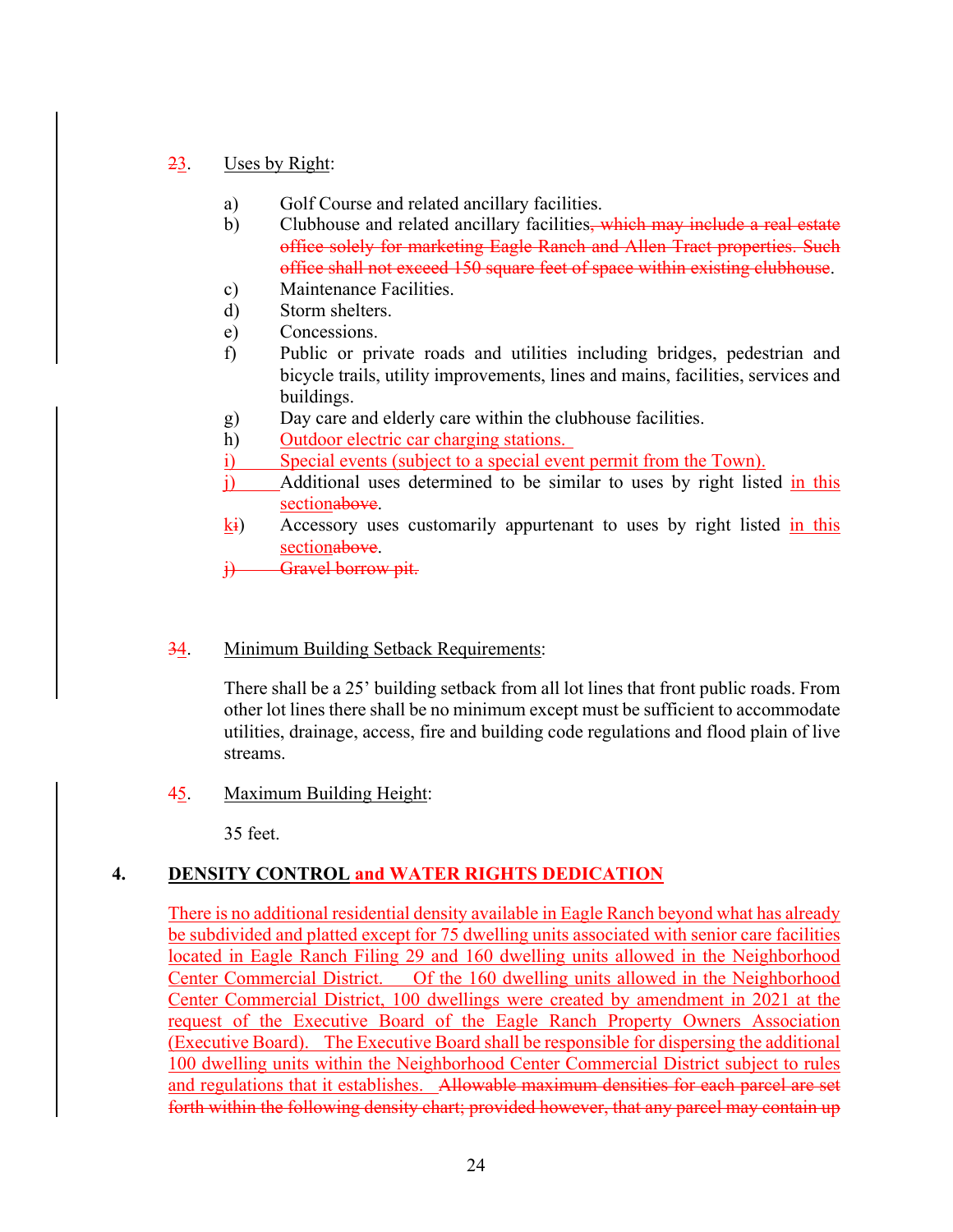## 23. Uses by Right:

- a) Golf Course and related ancillary facilities.
- b) Clubhouse and related ancillary facilities, which may include a real estate office solely for marketing Eagle Ranch and Allen Tract properties. Such office shall not exceed 150 square feet of space within existing clubhouse.
- c) Maintenance Facilities.
- d) Storm shelters.
- e) Concessions.
- f) Public or private roads and utilities including bridges, pedestrian and bicycle trails, utility improvements, lines and mains, facilities, services and buildings.
- g) Day care and elderly care within the clubhouse facilities.
- h) Outdoor electric car charging stations.
- i) Special events (subject to a special event permit from the Town).
- j) Additional uses determined to be similar to uses by right listed in this sectionabove.
- ki) Accessory uses customarily appurtenant to uses by right listed in this sectionabove.

i) Gravel borrow pit.

# 34. Minimum Building Setback Requirements:

There shall be a 25' building setback from all lot lines that front public roads. From other lot lines there shall be no minimum except must be sufficient to accommodate utilities, drainage, access, fire and building code regulations and flood plain of live streams.

45. Maximum Building Height:

35 feet.

# **4. DENSITY CONTROL and WATER RIGHTS DEDICATION**

There is no additional residential density available in Eagle Ranch beyond what has already be subdivided and platted except for 75 dwelling units associated with senior care facilities located in Eagle Ranch Filing 29 and 160 dwelling units allowed in the Neighborhood Center Commercial District. Of the 160 dwelling units allowed in the Neighborhood Center Commercial District, 100 dwellings were created by amendment in 2021 at the request of the Executive Board of the Eagle Ranch Property Owners Association (Executive Board). The Executive Board shall be responsible for dispersing the additional 100 dwelling units within the Neighborhood Center Commercial District subject to rules and regulations that it establishes. Allowable maximum densities for each parcel are set forth within the following density chart; provided however, that any parcel may contain up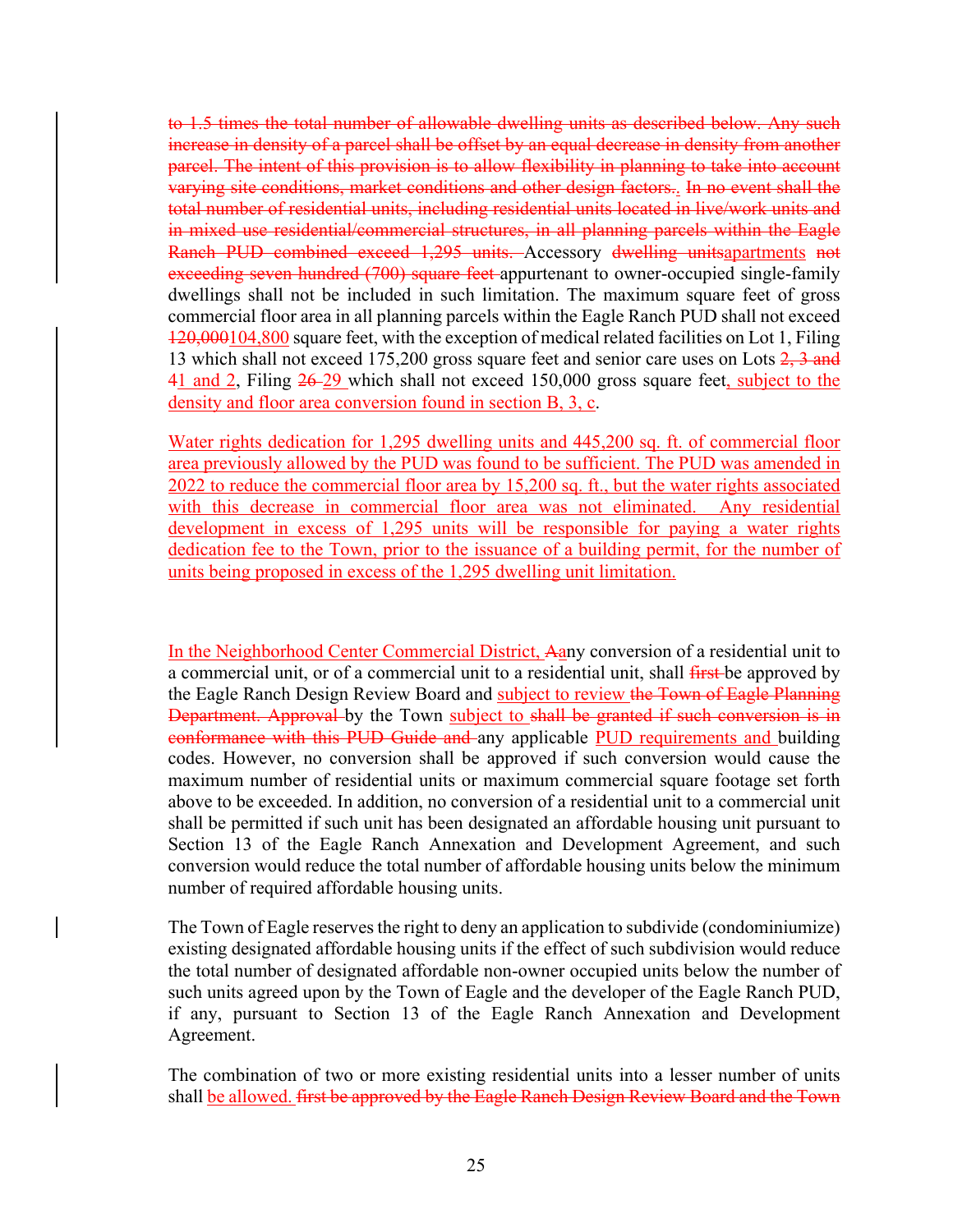to 1.5 times the total number of allowable dwelling units as described below. Any such increase in density of a parcel shall be offset by an equal decrease in density from another parcel. The intent of this provision is to allow flexibility in planning to take into account varying site conditions, market conditions and other design factors.. In no event shall the total number of residential units, including residential units located in live/work units and in mixed use residential/commercial structures, in all planning parcels within the Eagle Ranch PUD combined exceed 1,295 units. Accessory dwelling unitsapartments not exceeding seven hundred (700) square feet appurtenant to owner-occupied single-family dwellings shall not be included in such limitation. The maximum square feet of gross commercial floor area in all planning parcels within the Eagle Ranch PUD shall not exceed 120,000104,800 square feet, with the exception of medical related facilities on Lot 1, Filing 13 which shall not exceed 175,200 gross square feet and senior care uses on Lots 2, 3 and 41 and 2, Filing  $26-29$  which shall not exceed 150,000 gross square feet, subject to the density and floor area conversion found in section B, 3, c.

Water rights dedication for 1,295 dwelling units and 445,200 sq. ft. of commercial floor area previously allowed by the PUD was found to be sufficient. The PUD was amended in 2022 to reduce the commercial floor area by 15,200 sq. ft., but the water rights associated with this decrease in commercial floor area was not eliminated. Any residential development in excess of 1,295 units will be responsible for paying a water rights dedication fee to the Town, prior to the issuance of a building permit, for the number of units being proposed in excess of the 1,295 dwelling unit limitation.

In the Neighborhood Center Commercial District, Aany conversion of a residential unit to a commercial unit, or of a commercial unit to a residential unit, shall *first*-be approved by the Eagle Ranch Design Review Board and subject to review the Town of Eagle Planning **Department. Approval** by the Town subject to shall be granted if such conversion is in conformance with this PUD Guide and any applicable PUD requirements and building codes. However, no conversion shall be approved if such conversion would cause the maximum number of residential units or maximum commercial square footage set forth above to be exceeded. In addition, no conversion of a residential unit to a commercial unit shall be permitted if such unit has been designated an affordable housing unit pursuant to Section 13 of the Eagle Ranch Annexation and Development Agreement, and such conversion would reduce the total number of affordable housing units below the minimum number of required affordable housing units.

The Town of Eagle reserves the right to deny an application to subdivide (condominiumize) existing designated affordable housing units if the effect of such subdivision would reduce the total number of designated affordable non-owner occupied units below the number of such units agreed upon by the Town of Eagle and the developer of the Eagle Ranch PUD, if any, pursuant to Section 13 of the Eagle Ranch Annexation and Development Agreement.

The combination of two or more existing residential units into a lesser number of units shall be allowed. first be approved by the Eagle Ranch Design Review Board and the Town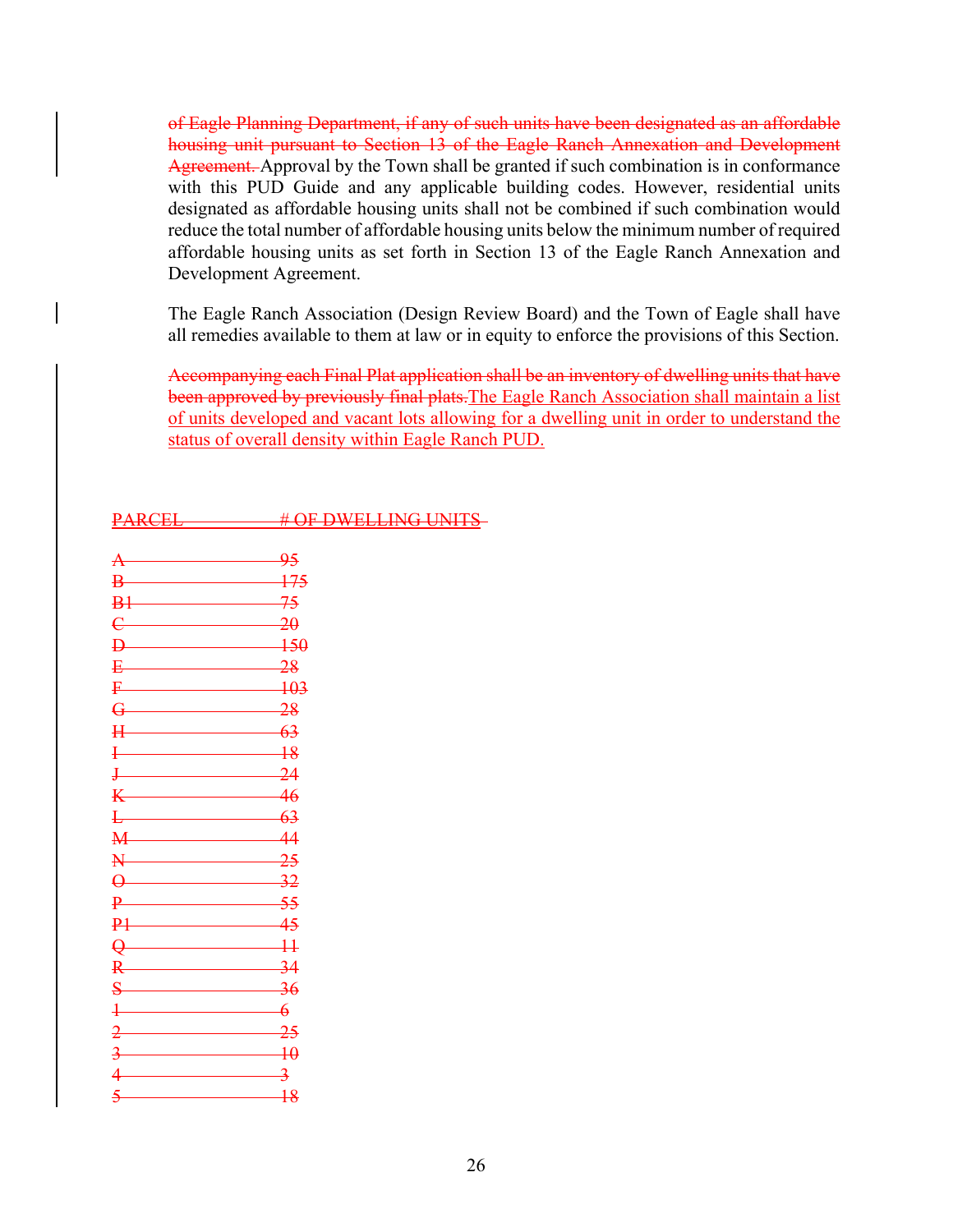of Eagle Planning Department, if any of such units have been designated as an affordable housing unit pursuant to Section 13 of the Eagle Ranch Annexation and Development Agreement. Approval by the Town shall be granted if such combination is in conformance with this PUD Guide and any applicable building codes. However, residential units designated as affordable housing units shall not be combined if such combination would reduce the total number of affordable housing units below the minimum number of required affordable housing units as set forth in Section 13 of the Eagle Ranch Annexation and Development Agreement.

The Eagle Ranch Association (Design Review Board) and the Town of Eagle shall have all remedies available to them at law or in equity to enforce the provisions of this Section.

Accompanying each Final Plat application shall be an inventory of dwelling units that have been approved by previously final plats. The Eagle Ranch Association shall maintain a list of units developed and vacant lots allowing for a dwelling unit in order to understand the status of overall density within Eagle Ranch PUD.

| <b>DADCEI</b>  | $\#$ OF DWEI I INC I INITE       |
|----------------|----------------------------------|
| 17 11 12 17 17 | <u> TEVISIAN ERRITH A VINTER</u> |

|                                                                                                                                                                                                                                                                                                                     | 95                         |
|---------------------------------------------------------------------------------------------------------------------------------------------------------------------------------------------------------------------------------------------------------------------------------------------------------------------|----------------------------|
| $B-$                                                                                                                                                                                                                                                                                                                | 175                        |
| B1                                                                                                                                                                                                                                                                                                                  | 75                         |
| $\mathbf{C}$                                                                                                                                                                                                                                                                                                        | 20                         |
| $\mathbf{D}$                                                                                                                                                                                                                                                                                                        | $-150$                     |
| <b>P</b> 2008 2009                                                                                                                                                                                                                                                                                                  | $-28$                      |
| $F \t 103$                                                                                                                                                                                                                                                                                                          |                            |
| $\overline{G}$                                                                                                                                                                                                                                                                                                      | $-28$                      |
| $H$ and the set of $H$                                                                                                                                                                                                                                                                                              | $-63$                      |
| $\frac{1}{2}$                                                                                                                                                                                                                                                                                                       | $-18$                      |
| $J$ and $J$ and $J$                                                                                                                                                                                                                                                                                                 | 24                         |
| $K$ and $K$                                                                                                                                                                                                                                                                                                         | $-46$                      |
| $\mathbf{L}$                                                                                                                                                                                                                                                                                                        | $-63$                      |
| M 44                                                                                                                                                                                                                                                                                                                |                            |
| N 25                                                                                                                                                                                                                                                                                                                |                            |
| $\theta$                                                                                                                                                                                                                                                                                                            | 32                         |
|                                                                                                                                                                                                                                                                                                                     |                            |
| P1                                                                                                                                                                                                                                                                                                                  | 45                         |
| $\overline{\mathbf{Q}}$                                                                                                                                                                                                                                                                                             | $-11$                      |
| R                                                                                                                                                                                                                                                                                                                   | 34                         |
| $\mathbf S$                                                                                                                                                                                                                                                                                                         | $\overline{\phantom{0}36}$ |
| $\frac{1}{2}$ $\frac{1}{2}$ $\frac{1}{2}$ $\frac{1}{2}$ $\frac{1}{2}$ $\frac{1}{2}$ $\frac{1}{2}$ $\frac{1}{2}$ $\frac{1}{2}$ $\frac{1}{2}$ $\frac{1}{2}$ $\frac{1}{2}$ $\frac{1}{2}$ $\frac{1}{2}$ $\frac{1}{2}$ $\frac{1}{2}$ $\frac{1}{2}$ $\frac{1}{2}$ $\frac{1}{2}$ $\frac{1}{2}$ $\frac{1}{2}$ $\frac{1}{2}$ | 6                          |
| $\frac{1}{2}$                                                                                                                                                                                                                                                                                                       | <del>25</del>              |
| $\overline{\mathbf{3}}$                                                                                                                                                                                                                                                                                             | $\rightarrow$              |
| $\sqrt{ }$                                                                                                                                                                                                                                                                                                          | $\mathbf 3$                |
| $\sim$                                                                                                                                                                                                                                                                                                              | $\overline{18}$            |
|                                                                                                                                                                                                                                                                                                                     |                            |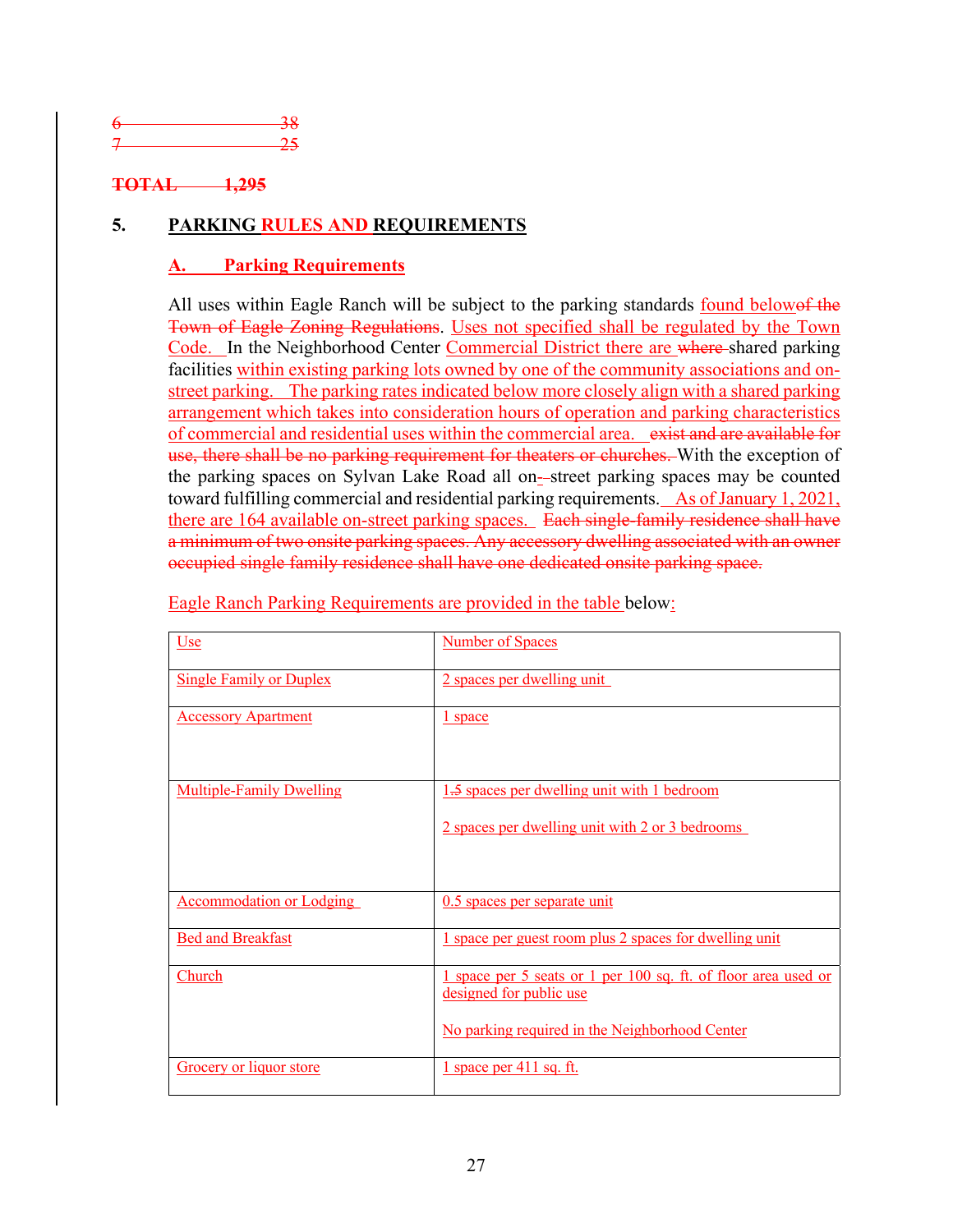| __ |
|----|
| -  |
|    |

# **TOTAL 1,295**

# **5. PARKING RULES AND REQUIREMENTS**

# **Parking Requirements**

All uses within Eagle Ranch will be subject to the parking standards found belowef the Town of Eagle Zoning Regulations. Uses not specified shall be regulated by the Town Code. In the Neighborhood Center Commercial District there are where shared parking facilities within existing parking lots owned by one of the community associations and onstreet parking. The parking rates indicated below more closely align with a shared parking arrangement which takes into consideration hours of operation and parking characteristics of commercial and residential uses within the commercial area. exist and are available for use, there shall be no parking requirement for theaters or churches. With the exception of the parking spaces on Sylvan Lake Road all on-street parking spaces may be counted toward fulfilling commercial and residential parking requirements. As of January 1, 2021, there are 164 available on-street parking spaces. Each single-family residence shall have a minimum of two onsite parking spaces. Any accessory dwelling associated with an owner occupied single family residence shall have one dedicated onsite parking space.

| Use                             | <b>Number of Spaces</b>                                                                                                                     |
|---------------------------------|---------------------------------------------------------------------------------------------------------------------------------------------|
| <b>Single Family or Duplex</b>  | 2 spaces per dwelling unit                                                                                                                  |
| <b>Accessory Apartment</b>      | <u>l</u> space                                                                                                                              |
| <b>Multiple-Family Dwelling</b> | 1.5 spaces per dwelling unit with 1 bedroom<br>2 spaces per dwelling unit with 2 or 3 bedrooms                                              |
| <b>Accommodation or Lodging</b> | 0.5 spaces per separate unit                                                                                                                |
| <b>Bed and Breakfast</b>        | 1 space per guest room plus 2 spaces for dwelling unit                                                                                      |
| Church                          | 1 space per 5 seats or 1 per 100 sq. ft. of floor area used or<br>designed for public use<br>No parking required in the Neighborhood Center |
| Grocery or liquor store         | $1$ space per 411 sq. ft.                                                                                                                   |

Eagle Ranch Parking Requirements are provided in the table below: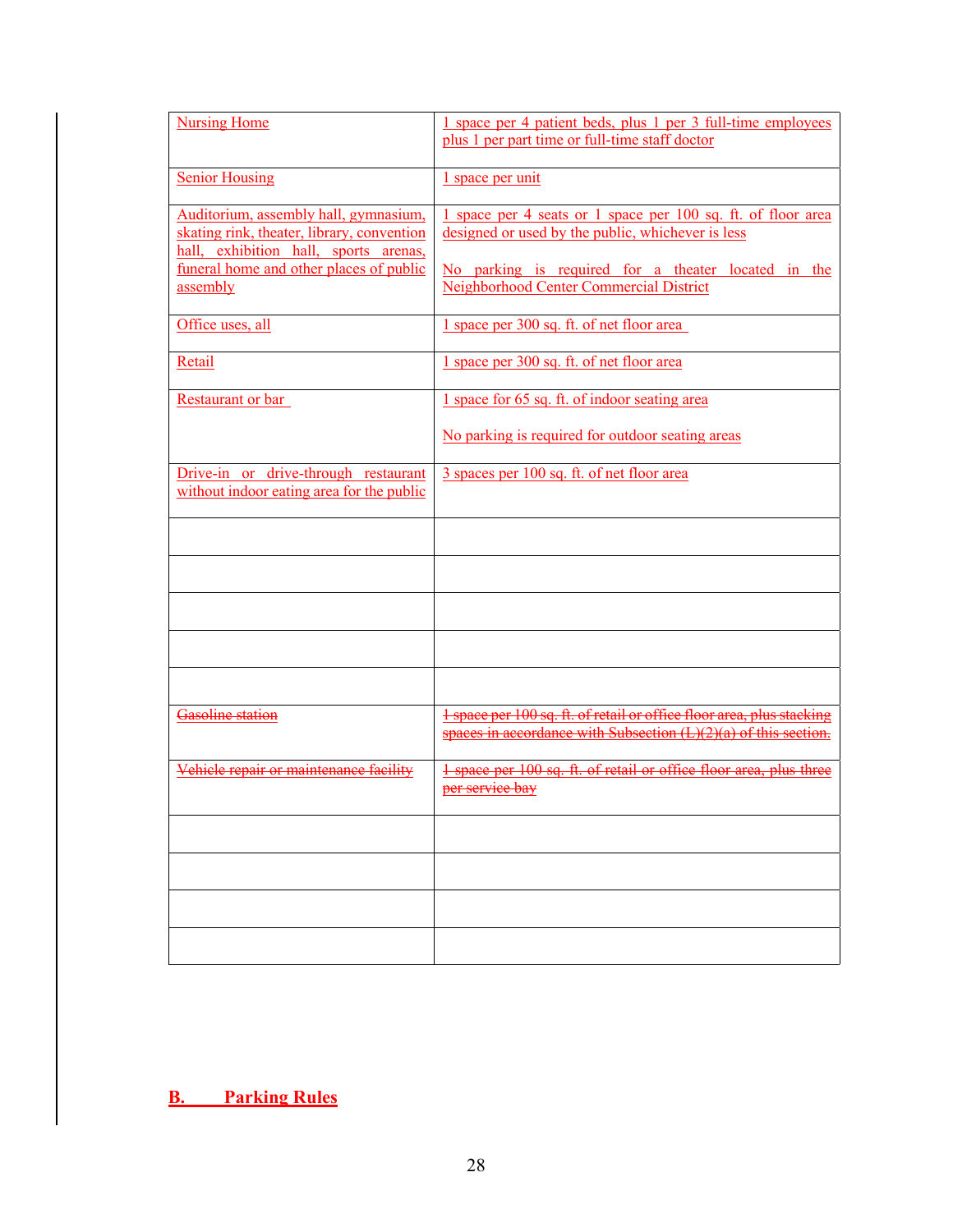| <b>Nursing Home</b>                                                                                                          | 1 space per 4 patient beds, plus 1 per 3 full-time employees<br>plus 1 per part time or full-time staff doctor                             |
|------------------------------------------------------------------------------------------------------------------------------|--------------------------------------------------------------------------------------------------------------------------------------------|
| <b>Senior Housing</b>                                                                                                        | 1 space per unit                                                                                                                           |
| Auditorium, assembly hall, gymnasium,<br>skating rink, theater, library, convention<br>hall, exhibition hall, sports arenas, | 1 space per 4 seats or 1 space per 100 sq. ft. of floor area<br>designed or used by the public, whichever is less                          |
| funeral home and other places of public<br>assembly                                                                          | No parking is required for a theater located in the<br>Neighborhood Center Commercial District                                             |
| Office uses, all                                                                                                             | 1 space per 300 sq. ft. of net floor area                                                                                                  |
| Retail                                                                                                                       | 1 space per 300 sq. ft. of net floor area                                                                                                  |
| Restaurant or bar                                                                                                            | 1 space for 65 sq. ft. of indoor seating area                                                                                              |
|                                                                                                                              | No parking is required for outdoor seating areas                                                                                           |
| Drive-in or drive-through restaurant<br>without indoor eating area for the public                                            | 3 spaces per 100 sq. ft. of net floor area                                                                                                 |
|                                                                                                                              |                                                                                                                                            |
|                                                                                                                              |                                                                                                                                            |
|                                                                                                                              |                                                                                                                                            |
|                                                                                                                              |                                                                                                                                            |
|                                                                                                                              |                                                                                                                                            |
| Gasoline station                                                                                                             | 1 space per 100 sq. ft. of retail or office floor area, plus stacking<br>spaces in accordance with Subsection $(L)(2)(a)$ of this section. |
| Vehiele repair or maintenance facility                                                                                       | 1 space per 100 sq. ft. of retail or office floor area, plus three<br>per service bay                                                      |
|                                                                                                                              |                                                                                                                                            |
|                                                                                                                              |                                                                                                                                            |
|                                                                                                                              |                                                                                                                                            |
|                                                                                                                              |                                                                                                                                            |

**B. Parking Rules**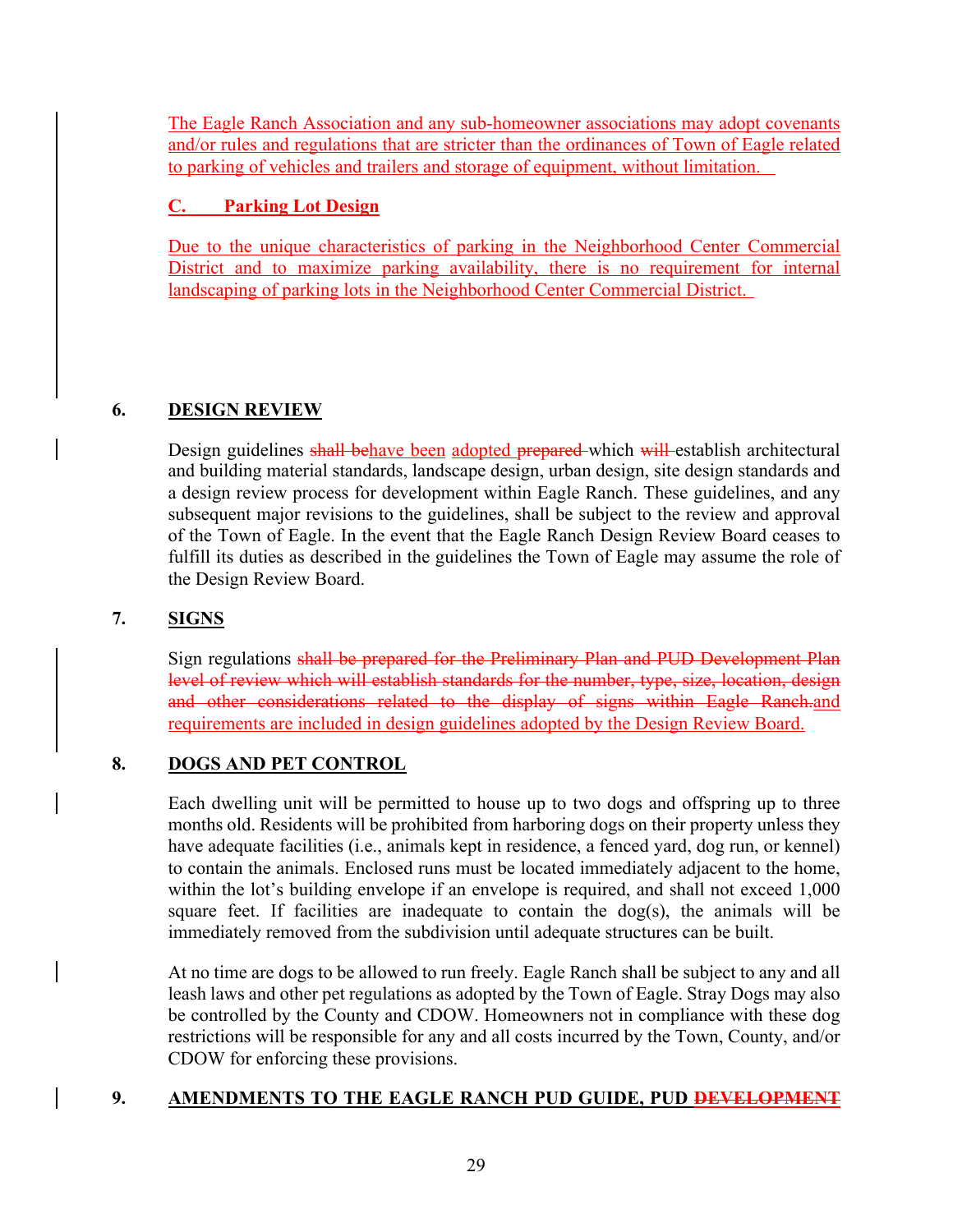The Eagle Ranch Association and any sub-homeowner associations may adopt covenants and/or rules and regulations that are stricter than the ordinances of Town of Eagle related to parking of vehicles and trailers and storage of equipment, without limitation.

# **C. Parking Lot Design**

Due to the unique characteristics of parking in the Neighborhood Center Commercial District and to maximize parking availability, there is no requirement for internal landscaping of parking lots in the Neighborhood Center Commercial District.

# **6. DESIGN REVIEW**

Design guidelines shall behave been adopted prepared which will establish architectural and building material standards, landscape design, urban design, site design standards and a design review process for development within Eagle Ranch. These guidelines, and any subsequent major revisions to the guidelines, shall be subject to the review and approval of the Town of Eagle. In the event that the Eagle Ranch Design Review Board ceases to fulfill its duties as described in the guidelines the Town of Eagle may assume the role of the Design Review Board.

# **7. SIGNS**

Sign regulations shall be prepared for the Preliminary Plan and PUD Development Plan level of review which will establish standards for the number, type, size, location, design and other considerations related to the display of signs within Eagle Ranch.and requirements are included in design guidelines adopted by the Design Review Board.

# **8. DOGS AND PET CONTROL**

Each dwelling unit will be permitted to house up to two dogs and offspring up to three months old. Residents will be prohibited from harboring dogs on their property unless they have adequate facilities (i.e., animals kept in residence, a fenced yard, dog run, or kennel) to contain the animals. Enclosed runs must be located immediately adjacent to the home, within the lot's building envelope if an envelope is required, and shall not exceed 1,000 square feet. If facilities are inadequate to contain the  $\log(s)$ , the animals will be immediately removed from the subdivision until adequate structures can be built.

At no time are dogs to be allowed to run freely. Eagle Ranch shall be subject to any and all leash laws and other pet regulations as adopted by the Town of Eagle. Stray Dogs may also be controlled by the County and CDOW. Homeowners not in compliance with these dog restrictions will be responsible for any and all costs incurred by the Town, County, and/or CDOW for enforcing these provisions.

# **9. AMENDMENTS TO THE EAGLE RANCH PUD GUIDE, PUD DEVELOPMENT**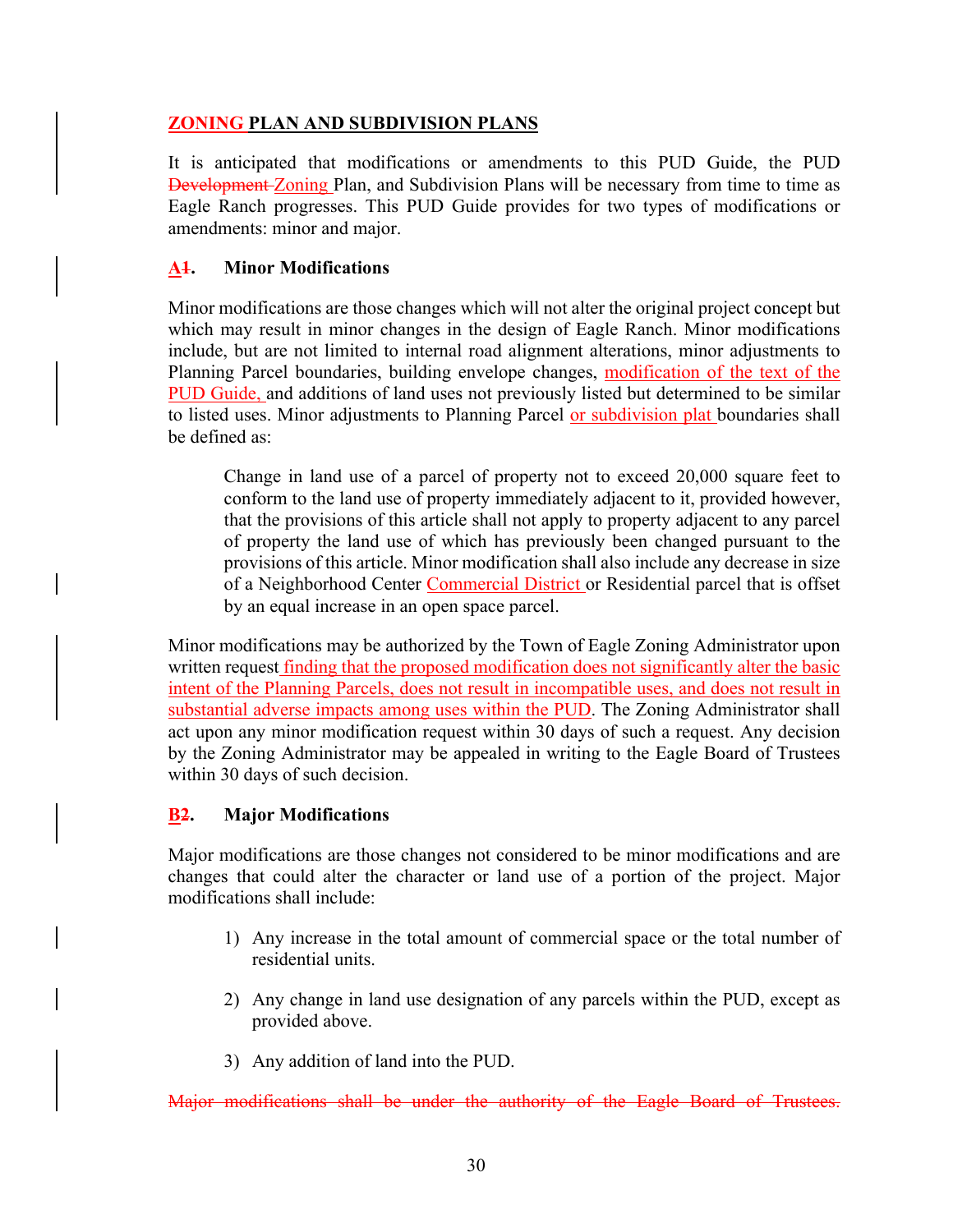## **ZONING PLAN AND SUBDIVISION PLANS**

It is anticipated that modifications or amendments to this PUD Guide, the PUD **Development-Zoning Plan, and Subdivision Plans will be necessary from time to time as** Eagle Ranch progresses. This PUD Guide provides for two types of modifications or amendments: minor and major.

## **A1. Minor Modifications**

Minor modifications are those changes which will not alter the original project concept but which may result in minor changes in the design of Eagle Ranch. Minor modifications include, but are not limited to internal road alignment alterations, minor adjustments to Planning Parcel boundaries, building envelope changes, modification of the text of the PUD Guide, and additions of land uses not previously listed but determined to be similar to listed uses. Minor adjustments to Planning Parcel or subdivision plat boundaries shall be defined as:

Change in land use of a parcel of property not to exceed 20,000 square feet to conform to the land use of property immediately adjacent to it, provided however, that the provisions of this article shall not apply to property adjacent to any parcel of property the land use of which has previously been changed pursuant to the provisions of this article. Minor modification shall also include any decrease in size of a Neighborhood Center Commercial District or Residential parcel that is offset by an equal increase in an open space parcel.

Minor modifications may be authorized by the Town of Eagle Zoning Administrator upon written request finding that the proposed modification does not significantly alter the basic intent of the Planning Parcels, does not result in incompatible uses, and does not result in substantial adverse impacts among uses within the PUD. The Zoning Administrator shall act upon any minor modification request within 30 days of such a request. Any decision by the Zoning Administrator may be appealed in writing to the Eagle Board of Trustees within 30 days of such decision.

# **B2. Major Modifications**

Major modifications are those changes not considered to be minor modifications and are changes that could alter the character or land use of a portion of the project. Major modifications shall include:

- 1) Any increase in the total amount of commercial space or the total number of residential units.
- 2) Any change in land use designation of any parcels within the PUD, except as provided above.
- 3) Any addition of land into the PUD.

Major modifications shall be under the authority of the Eagle Board of Trustees.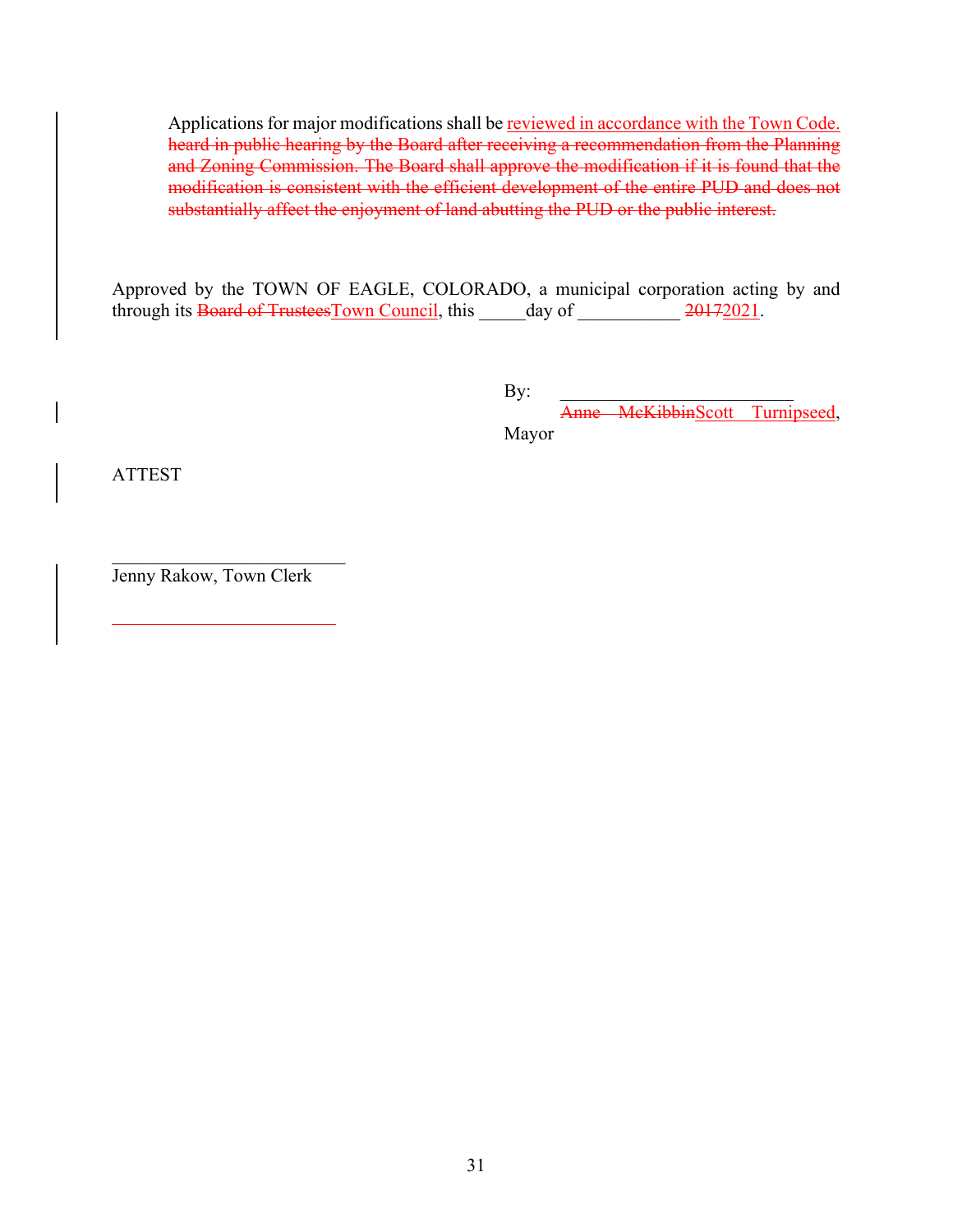Applications for major modifications shall be reviewed in accordance with the Town Code. heard in public hearing by the Board after receiving a recommendation from the Planning and Zoning Commission. The Board shall approve the modification if it is found that the modification is consistent with the efficient development of the entire PUD and does not substantially affect the enjoyment of land abutting the PUD or the public interest.

Approved by the TOWN OF EAGLE, COLORADO, a municipal corporation acting by and through its Board of Trustees Town Council, this \_\_\_\_\_day of \_\_\_\_\_\_\_\_\_\_\_ 20172021.

 $\mathbf{By:}$ 

Anne McKibbinScott Turnipseed, Mayor

ATTEST

Jenny Rakow, Town Clerk